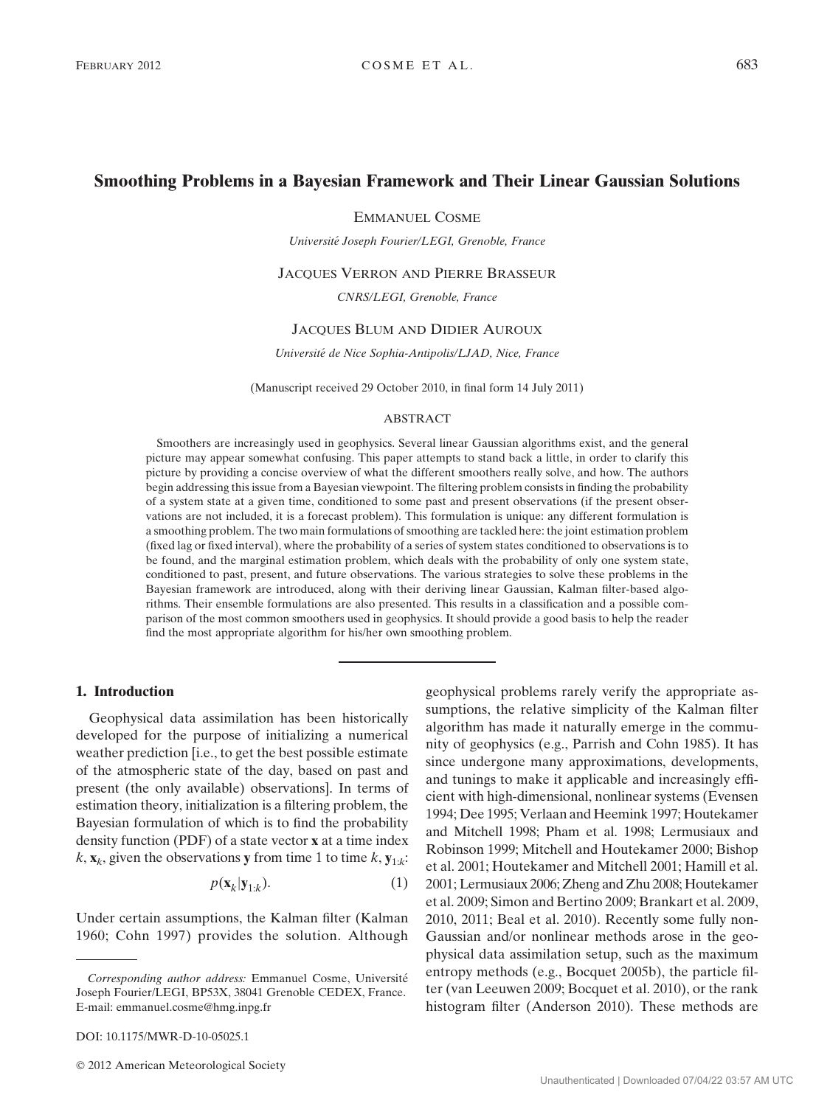# Smoothing Problems in a Bayesian Framework and Their Linear Gaussian Solutions

EMMANUEL COSME

Université Joseph Fourier/LEGI, Grenoble, France

JACQUES VERRON AND PIERRE BRASSEUR

CNRS/LEGI, Grenoble, France

## JACQUES BLUM AND DIDIER AUROUX

Université de Nice Sophia-Antipolis/LJAD, Nice, France

(Manuscript received 29 October 2010, in final form 14 July 2011)

#### ABSTRACT

Smoothers are increasingly used in geophysics. Several linear Gaussian algorithms exist, and the general picture may appear somewhat confusing. This paper attempts to stand back a little, in order to clarify this picture by providing a concise overview of what the different smoothers really solve, and how. The authors begin addressing this issue from a Bayesian viewpoint. The filtering problem consists in finding the probability of a system state at a given time, conditioned to some past and present observations (if the present observations are not included, it is a forecast problem). This formulation is unique: any different formulation is a smoothing problem. The two main formulations of smoothing are tackled here: the joint estimation problem (fixed lag or fixed interval), where the probability of a series of system states conditioned to observations is to be found, and the marginal estimation problem, which deals with the probability of only one system state, conditioned to past, present, and future observations. The various strategies to solve these problems in the Bayesian framework are introduced, along with their deriving linear Gaussian, Kalman filter-based algorithms. Their ensemble formulations are also presented. This results in a classification and a possible comparison of the most common smoothers used in geophysics. It should provide a good basis to help the reader find the most appropriate algorithm for his/her own smoothing problem.

## 1. Introduction

Geophysical data assimilation has been historically developed for the purpose of initializing a numerical weather prediction [i.e., to get the best possible estimate of the atmospheric state of the day, based on past and present (the only available) observations]. In terms of estimation theory, initialization is a filtering problem, the Bayesian formulation of which is to find the probability density function (PDF) of a state vector x at a time index k,  $\mathbf{x}_k$ , given the observations y from time 1 to time k,  $\mathbf{y}_{1:k}$ :

$$
p(\mathbf{x}_k|\mathbf{y}_{1:k}).\tag{1}
$$

Under certain assumptions, the Kalman filter (Kalman 1960; Cohn 1997) provides the solution. Although

- 2012 American Meteorological Society

geophysical problems rarely verify the appropriate assumptions, the relative simplicity of the Kalman filter algorithm has made it naturally emerge in the community of geophysics (e.g., Parrish and Cohn 1985). It has since undergone many approximations, developments, and tunings to make it applicable and increasingly efficient with high-dimensional, nonlinear systems (Evensen 1994; Dee 1995; Verlaan and Heemink 1997; Houtekamer and Mitchell 1998; Pham et al. 1998; Lermusiaux and Robinson 1999; Mitchell and Houtekamer 2000; Bishop et al. 2001; Houtekamer and Mitchell 2001; Hamill et al. 2001; Lermusiaux 2006; Zheng and Zhu 2008; Houtekamer et al. 2009; Simon and Bertino 2009; Brankart et al. 2009, 2010, 2011; Beal et al. 2010). Recently some fully non-Gaussian and/or nonlinear methods arose in the geophysical data assimilation setup, such as the maximum entropy methods (e.g., Bocquet 2005b), the particle filter (van Leeuwen 2009; Bocquet et al. 2010), or the rank histogram filter (Anderson 2010). These methods are

Corresponding author address: Emmanuel Cosme, Université Joseph Fourier/LEGI, BP53X, 38041 Grenoble CEDEX, France. E-mail: emmanuel.cosme@hmg.inpg.fr

DOI: 10.1175/MWR-D-10-05025.1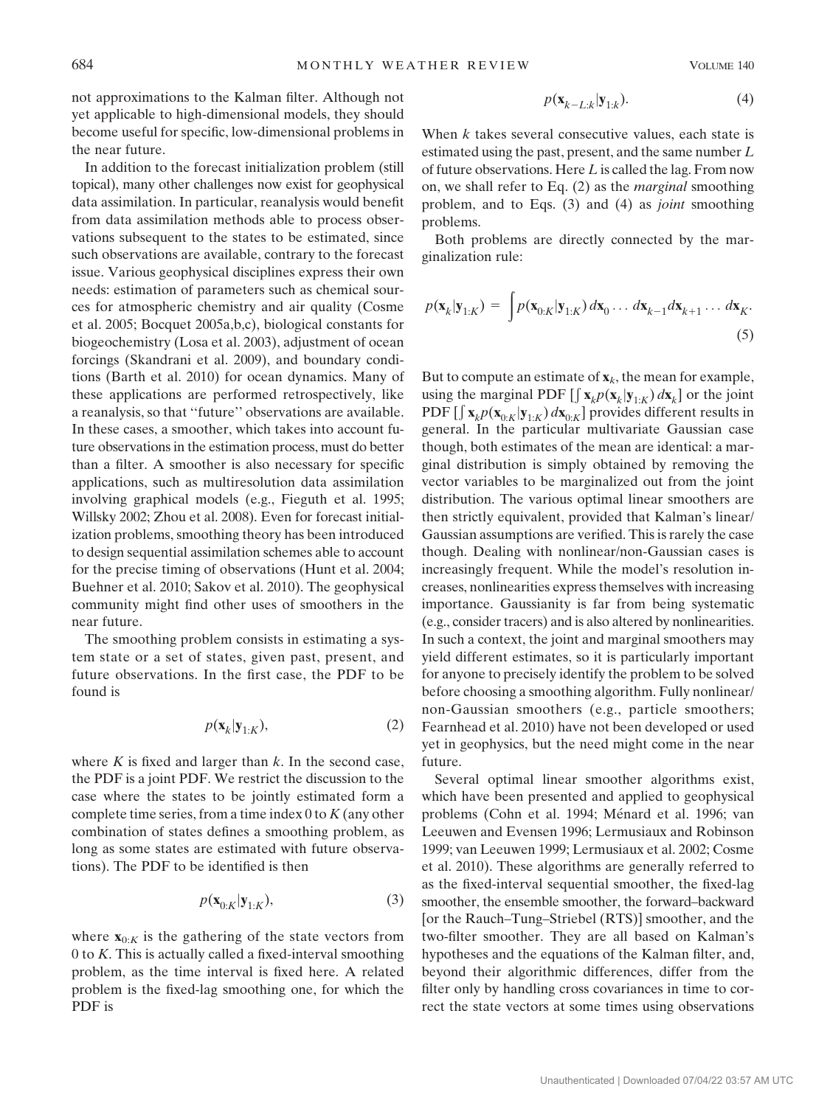not approximations to the Kalman filter. Although not yet applicable to high-dimensional models, they should become useful for specific, low-dimensional problems in the near future.

In addition to the forecast initialization problem (still topical), many other challenges now exist for geophysical data assimilation. In particular, reanalysis would benefit from data assimilation methods able to process observations subsequent to the states to be estimated, since such observations are available, contrary to the forecast issue. Various geophysical disciplines express their own needs: estimation of parameters such as chemical sources for atmospheric chemistry and air quality (Cosme et al. 2005; Bocquet 2005a,b,c), biological constants for biogeochemistry (Losa et al. 2003), adjustment of ocean forcings (Skandrani et al. 2009), and boundary conditions (Barth et al. 2010) for ocean dynamics. Many of these applications are performed retrospectively, like a reanalysis, so that ''future'' observations are available. In these cases, a smoother, which takes into account future observations in the estimation process, must do better than a filter. A smoother is also necessary for specific applications, such as multiresolution data assimilation involving graphical models (e.g., Fieguth et al. 1995; Willsky 2002; Zhou et al. 2008). Even for forecast initialization problems, smoothing theory has been introduced to design sequential assimilation schemes able to account for the precise timing of observations (Hunt et al. 2004; Buehner et al. 2010; Sakov et al. 2010). The geophysical community might find other uses of smoothers in the near future.

The smoothing problem consists in estimating a system state or a set of states, given past, present, and future observations. In the first case, the PDF to be found is

$$
p(\mathbf{x}_k|\mathbf{y}_{1:K}),\tag{2}
$$

where  $K$  is fixed and larger than  $k$ . In the second case, the PDF is a joint PDF. We restrict the discussion to the case where the states to be jointly estimated form a complete time series, from a time index 0 to  $K$  (any other combination of states defines a smoothing problem, as long as some states are estimated with future observations). The PDF to be identified is then

$$
p(\mathbf{x}_{0:K}|\mathbf{y}_{1:K}),\tag{3}
$$

where  $\mathbf{x}_{0:K}$  is the gathering of the state vectors from 0 to K. This is actually called a fixed-interval smoothing problem, as the time interval is fixed here. A related problem is the fixed-lag smoothing one, for which the PDF is

$$
p(\mathbf{x}_{k-L:k}|\mathbf{y}_{1:k}).\tag{4}
$$

When  $k$  takes several consecutive values, each state is estimated using the past, present, and the same number L of future observations. Here  $L$  is called the lag. From now on, we shall refer to Eq.  $(2)$  as the *marginal* smoothing problem, and to Eqs. (3) and (4) as joint smoothing problems.

Both problems are directly connected by the marginalization rule:

$$
p(\mathbf{x}_{k}|\mathbf{y}_{1:K}) = \int p(\mathbf{x}_{0:K}|\mathbf{y}_{1:K}) d\mathbf{x}_{0} \dots d\mathbf{x}_{k-1} d\mathbf{x}_{k+1} \dots d\mathbf{x}_{K}.
$$
\n(5)

But to compute an estimate of  $\mathbf{x}_k$ , the mean for example, but to compute an estimate or  $\mathbf{x}_k$ , the mean for example,<br>using the marginal PDF  $[\int \mathbf{x}_k p(\mathbf{x}_k|\mathbf{y}_{1:K}) d\mathbf{x}_k]$  or the joint PDF  $\iint_{\mathbf{X}_k} p(\mathbf{x}_{0:K}|\mathbf{y}_{1:K}) d\mathbf{x}_{0:K}$ ] provides different results in general. In the particular multivariate Gaussian case though, both estimates of the mean are identical: a marginal distribution is simply obtained by removing the vector variables to be marginalized out from the joint distribution. The various optimal linear smoothers are then strictly equivalent, provided that Kalman's linear/ Gaussian assumptions are verified. This is rarely the case though. Dealing with nonlinear/non-Gaussian cases is increasingly frequent. While the model's resolution increases, nonlinearities express themselves with increasing importance. Gaussianity is far from being systematic (e.g., consider tracers) and is also altered by nonlinearities. In such a context, the joint and marginal smoothers may yield different estimates, so it is particularly important for anyone to precisely identify the problem to be solved before choosing a smoothing algorithm. Fully nonlinear/ non-Gaussian smoothers (e.g., particle smoothers; Fearnhead et al. 2010) have not been developed or used yet in geophysics, but the need might come in the near future.

Several optimal linear smoother algorithms exist, which have been presented and applied to geophysical problems (Cohn et al. 1994; Ménard et al. 1996; van Leeuwen and Evensen 1996; Lermusiaux and Robinson 1999; van Leeuwen 1999; Lermusiaux et al. 2002; Cosme et al. 2010). These algorithms are generally referred to as the fixed-interval sequential smoother, the fixed-lag smoother, the ensemble smoother, the forward–backward [or the Rauch–Tung–Striebel (RTS)] smoother, and the two-filter smoother. They are all based on Kalman's hypotheses and the equations of the Kalman filter, and, beyond their algorithmic differences, differ from the filter only by handling cross covariances in time to correct the state vectors at some times using observations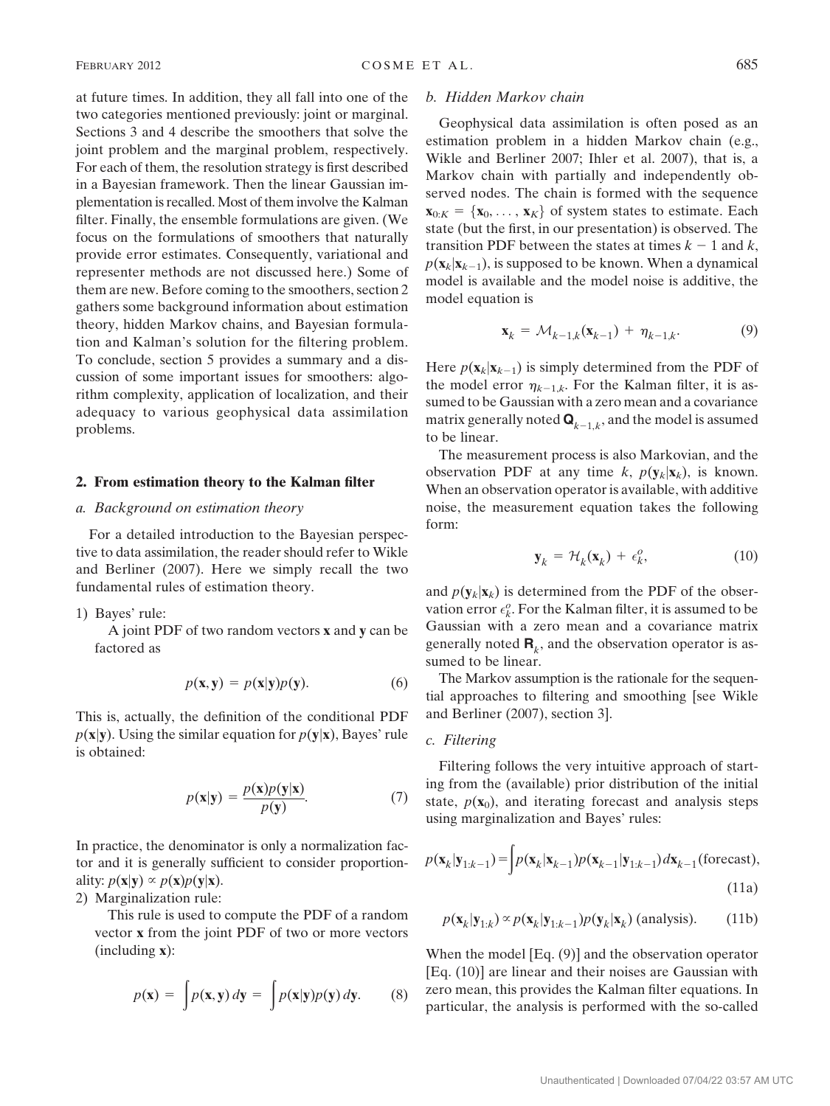at future times. In addition, they all fall into one of the two categories mentioned previously: joint or marginal. Sections 3 and 4 describe the smoothers that solve the joint problem and the marginal problem, respectively. For each of them, the resolution strategy is first described in a Bayesian framework. Then the linear Gaussian implementation is recalled. Most of them involve the Kalman filter. Finally, the ensemble formulations are given. (We focus on the formulations of smoothers that naturally provide error estimates. Consequently, variational and representer methods are not discussed here.) Some of them are new. Before coming to the smoothers, section 2 gathers some background information about estimation theory, hidden Markov chains, and Bayesian formulation and Kalman's solution for the filtering problem. To conclude, section 5 provides a summary and a discussion of some important issues for smoothers: algorithm complexity, application of localization, and their adequacy to various geophysical data assimilation problems.

### 2. From estimation theory to the Kalman filter

# a. Background on estimation theory

For a detailed introduction to the Bayesian perspective to data assimilation, the reader should refer to Wikle and Berliner (2007). Here we simply recall the two fundamental rules of estimation theory.

1) Bayes' rule:

A joint PDF of two random vectors x and y can be factored as

$$
p(\mathbf{x}, \mathbf{y}) = p(\mathbf{x}|\mathbf{y})p(\mathbf{y}).\tag{6}
$$

This is, actually, the definition of the conditional PDF  $p(x|y)$ . Using the similar equation for  $p(y|x)$ , Bayes' rule is obtained:

$$
p(\mathbf{x}|\mathbf{y}) = \frac{p(\mathbf{x})p(\mathbf{y}|\mathbf{x})}{p(\mathbf{y})}.
$$
 (7)

In practice, the denominator is only a normalization factor and it is generally sufficient to consider proportionality:  $p(\mathbf{x}|\mathbf{y}) \propto p(\mathbf{x})p(\mathbf{y}|\mathbf{x}).$ 

2) Marginalization rule:

This rule is used to compute the PDF of a random vector x from the joint PDF of two or more vectors (including x):

$$
p(\mathbf{x}) = \int p(\mathbf{x}, \mathbf{y}) \, d\mathbf{y} = \int p(\mathbf{x}|\mathbf{y}) p(\mathbf{y}) \, d\mathbf{y}.
$$
 (8)

## b. Hidden Markov chain

Geophysical data assimilation is often posed as an estimation problem in a hidden Markov chain (e.g., Wikle and Berliner 2007; Ihler et al. 2007), that is, a Markov chain with partially and independently observed nodes. The chain is formed with the sequence  $\mathbf{x}_{0:K} = {\mathbf{x}_0, \ldots, \mathbf{x}_K}$  of system states to estimate. Each state (but the first, in our presentation) is observed. The transition PDF between the states at times  $k - 1$  and k,  $p(\mathbf{x}_k|\mathbf{x}_{k-1})$ , is supposed to be known. When a dynamical model is available and the model noise is additive, the model equation is

$$
\mathbf{x}_{k} = \mathcal{M}_{k-1,k}(\mathbf{x}_{k-1}) + \eta_{k-1,k}.\tag{9}
$$

Here  $p(\mathbf{x}_k|\mathbf{x}_{k-1})$  is simply determined from the PDF of the model error  $\eta_{k-1,k}$ . For the Kalman filter, it is assumed to be Gaussian with a zero mean and a covariance matrix generally noted  $\mathbf{Q}_{k-1,k}$ , and the model is assumed to be linear.

The measurement process is also Markovian, and the observation PDF at any time k,  $p(y_k|x_k)$ , is known. When an observation operator is available, with additive noise, the measurement equation takes the following form:

$$
\mathbf{y}_k = \mathcal{H}_k(\mathbf{x}_k) + \epsilon_k^o,\tag{10}
$$

and  $p(\mathbf{y}_k|\mathbf{x}_k)$  is determined from the PDF of the observation error  $\epsilon_k^o$ . For the Kalman filter, it is assumed to be Gaussian with a zero mean and a covariance matrix generally noted  $\mathbf{R}_{k}$ , and the observation operator is assumed to be linear.

The Markov assumption is the rationale for the sequential approaches to filtering and smoothing [see Wikle and Berliner (2007), section 3].

### c. Filtering

Filtering follows the very intuitive approach of starting from the (available) prior distribution of the initial state,  $p(\mathbf{x}_0)$ , and iterating forecast and analysis steps using marginalization and Bayes' rules:

$$
p(\mathbf{x}_{k}|\mathbf{y}_{1:k-1}) = \int p(\mathbf{x}_{k}|\mathbf{x}_{k-1})p(\mathbf{x}_{k-1}|\mathbf{y}_{1:k-1})d\mathbf{x}_{k-1} \text{(forecast)},
$$
\n(11a)

$$
p(\mathbf{x}_{k}|\mathbf{y}_{1:k}) \propto p(\mathbf{x}_{k}|\mathbf{y}_{1:k-1})p(\mathbf{y}_{k}|\mathbf{x}_{k}) \text{ (analysis).} \tag{11b}
$$

When the model [Eq. (9)] and the observation operator [Eq. (10)] are linear and their noises are Gaussian with zero mean, this provides the Kalman filter equations. In particular, the analysis is performed with the so-called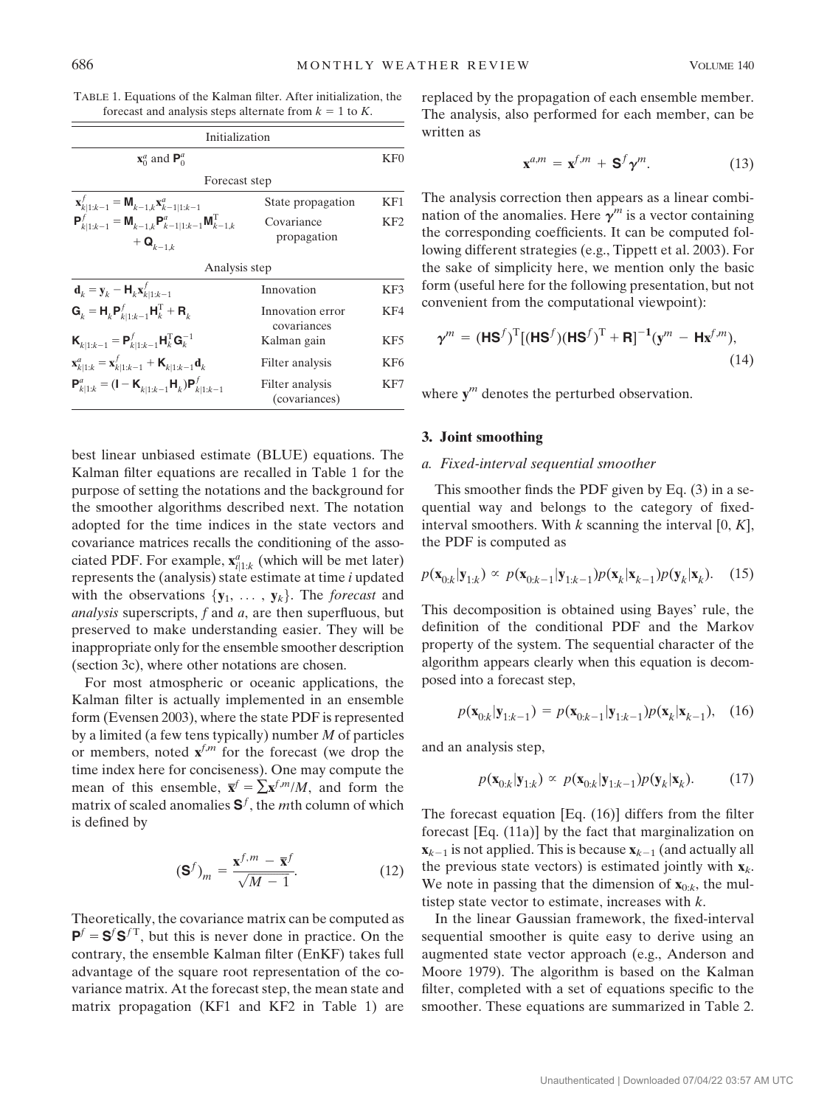TABLE 1. Equations of the Kalman filter. After initialization, the forecast and analysis steps alternate from  $k = 1$  to K.

| Initialization                                                                                              |                                  |                 |
|-------------------------------------------------------------------------------------------------------------|----------------------------------|-----------------|
| $\mathbf{x}_0^a$ and $\mathbf{P}_0^a$                                                                       |                                  | KF <sub>0</sub> |
| Forecast step                                                                                               |                                  |                 |
| $\mathbf{x}_{k1:k-1}^f = \mathbf{M}_{k-1,k} \mathbf{x}_{k-1 1:k-1}^a$                                       | State propagation                | KF1             |
| ${\bf P}_{k 1:k-1}^f={\bf M}_{k-1,k}{\bf P}_{k-1 1:k-1}^a{\bf M}_{k-1,k}^{\rm T}$<br>$+$ Q <sub>k-1.k</sub> | Covariance<br>propagation        | KF <sub>2</sub> |
| Analysis step                                                                                               |                                  |                 |
| $\mathbf{d}_k = \mathbf{y}_k - \mathbf{H}_k \mathbf{x}_{k 1:k-1}^f$                                         | Innovation                       | KF3             |
| $\mathbf{G}_k = \mathbf{H}_k \mathbf{P}_{k 1:k-1}^f \mathbf{H}_k^T + \mathbf{R}_k$                          | Innovation error<br>covariances  | KF4             |
| $Kk 1:k-1 = Pfk 1:k-1HTkG-1k$                                                                               | Kalman gain                      | KF5             |
| $\mathbf{x}_{k 1:k}^a = \mathbf{x}_{k 1:k-1}^f + \mathbf{K}_{k 1:k-1}\mathbf{d}_k$                          | Filter analysis                  | KF6             |
| ${\bf P}^{a}_{k 1:k} = ({\bf I}-{\bf K}_{k 1:k-1}{\bf H}_{k}){\bf P}^{f}_{k 1:k-1}$                         | Filter analysis<br>(covariances) | KF7             |

best linear unbiased estimate (BLUE) equations. The Kalman filter equations are recalled in Table 1 for the purpose of setting the notations and the background for the smoother algorithms described next. The notation adopted for the time indices in the state vectors and covariance matrices recalls the conditioning of the associated PDF. For example,  $\mathbf{x}_{i|1:k}^a$  (which will be met later) represents the (analysis) state estimate at time  $i$  updated with the observations  $\{y_1, \ldots, y_k\}$ . The *forecast* and analysis superscripts,  $f$  and  $a$ , are then superfluous, but preserved to make understanding easier. They will be inappropriate only for the ensemble smoother description (section 3c), where other notations are chosen.

For most atmospheric or oceanic applications, the Kalman filter is actually implemented in an ensemble form (Evensen 2003), where the state PDF is represented by a limited (a few tens typically) number  $M$  of particles or members, noted  $\mathbf{x}^{f,m}$  for the forecast (we drop the time index here for conciseness). One may compute the mean of this ensemble,  $\overline{\mathbf{x}}^f = \sum_{\mathbf{x}} \mathbf{x}^{f,m} / M$ , and form the matrix of scaled anomalies  $S^f$ , the *m*th column of which is defined by

$$
\left(\mathbf{S}^f\right)_m = \frac{\mathbf{x}^{f,m} - \overline{\mathbf{x}}^f}{\sqrt{M-1}}.\tag{12}
$$

Theoretically, the covariance matrix can be computed as  $P^f = S^f S^{fT}$ , but this is never done in practice. On the contrary, the ensemble Kalman filter (EnKF) takes full advantage of the square root representation of the covariance matrix. At the forecast step, the mean state and matrix propagation (KF1 and KF2 in Table 1) are replaced by the propagation of each ensemble member. The analysis, also performed for each member, can be written as

$$
\mathbf{x}^{a,m} = \mathbf{x}^{f,m} + \mathbf{S}^f \boldsymbol{\gamma}^m.
$$
 (13)

The analysis correction then appears as a linear combination of the anomalies. Here  $\gamma^m$  is a vector containing the corresponding coefficients. It can be computed following different strategies (e.g., Tippett et al. 2003). For the sake of simplicity here, we mention only the basic form (useful here for the following presentation, but not convenient from the computational viewpoint):

$$
\gamma^{m} = (\mathbf{H}\mathbf{S}^{f})^{\mathrm{T}}[(\mathbf{H}\mathbf{S}^{f})(\mathbf{H}\mathbf{S}^{f})^{\mathrm{T}} + \mathbf{R}]^{-1}(\mathbf{y}^{m} - \mathbf{H}\mathbf{x}^{f,m}),
$$
\n(14)

where  $y^m$  denotes the perturbed observation.

## 3. Joint smoothing

# a. Fixed-interval sequential smoother

This smoother finds the PDF given by Eq. (3) in a sequential way and belongs to the category of fixedinterval smoothers. With  $k$  scanning the interval  $[0, K]$ , the PDF is computed as

$$
p(\mathbf{x}_{0:k}|\mathbf{y}_{1:k}) \propto p(\mathbf{x}_{0:k-1}|\mathbf{y}_{1:k-1})p(\mathbf{x}_k|\mathbf{x}_{k-1})p(\mathbf{y}_k|\mathbf{x}_k). \quad (15)
$$

This decomposition is obtained using Bayes' rule, the definition of the conditional PDF and the Markov property of the system. The sequential character of the algorithm appears clearly when this equation is decomposed into a forecast step,

$$
p(\mathbf{x}_{0:k}|\mathbf{y}_{1:k-1}) = p(\mathbf{x}_{0:k-1}|\mathbf{y}_{1:k-1})p(\mathbf{x}_k|\mathbf{x}_{k-1}), \quad (16)
$$

and an analysis step,

$$
p(\mathbf{x}_{0:k}|\mathbf{y}_{1:k}) \propto p(\mathbf{x}_{0:k}|\mathbf{y}_{1:k-1})p(\mathbf{y}_k|\mathbf{x}_k). \tag{17}
$$

The forecast equation [Eq. (16)] differs from the filter forecast [Eq. (11a)] by the fact that marginalization on  $\mathbf{x}_{k-1}$  is not applied. This is because  $\mathbf{x}_{k-1}$  (and actually all the previous state vectors) is estimated jointly with  $\mathbf{x}_{k}$ . We note in passing that the dimension of  $\mathbf{x}_{0:k}$ , the multistep state vector to estimate, increases with  $k$ .

In the linear Gaussian framework, the fixed-interval sequential smoother is quite easy to derive using an augmented state vector approach (e.g., Anderson and Moore 1979). The algorithm is based on the Kalman filter, completed with a set of equations specific to the smoother. These equations are summarized in Table 2.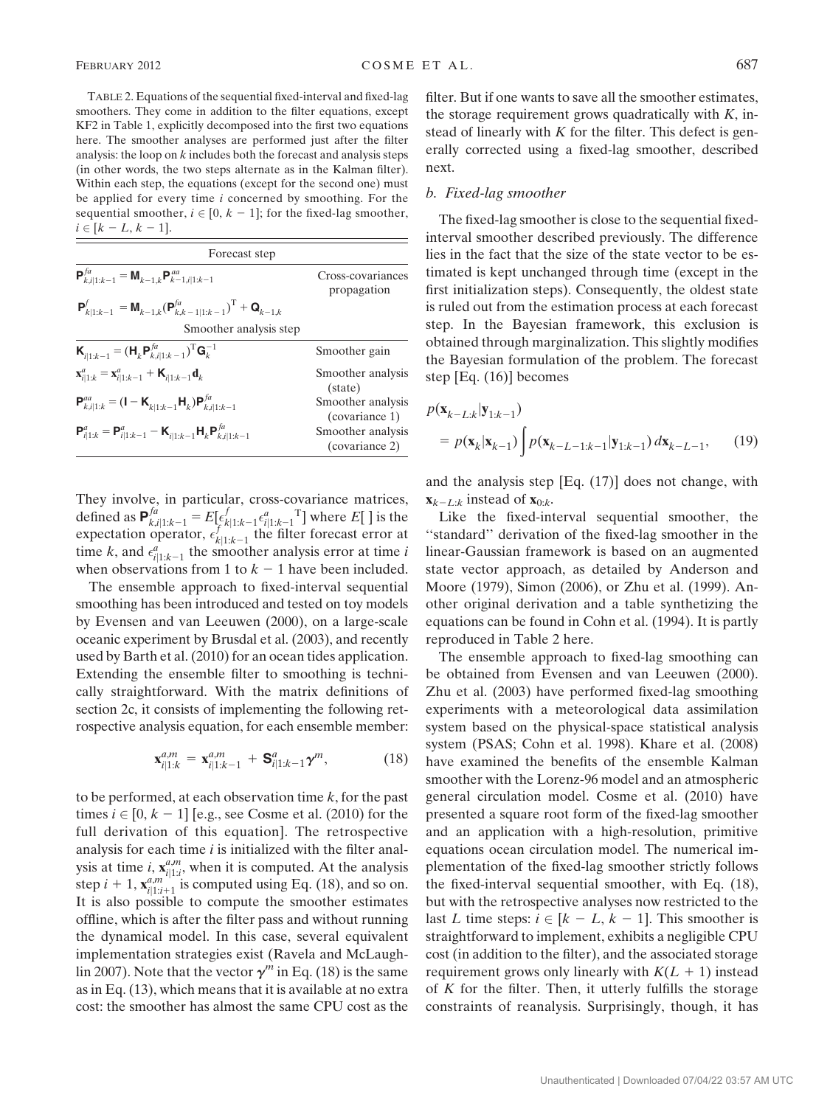TABLE 2. Equations of the sequential fixed-interval and fixed-lag smoothers. They come in addition to the filter equations, except KF2 in Table 1, explicitly decomposed into the first two equations here. The smoother analyses are performed just after the filter analysis: the loop on  $k$  includes both the forecast and analysis steps (in other words, the two steps alternate as in the Kalman filter). Within each step, the equations (except for the second one) must be applied for every time i concerned by smoothing. For the sequential smoother,  $i \in [0, k - 1]$ ; for the fixed-lag smoother,  $i \in [k - L, k - 1].$ 

| Forecast step                                                                                      |                                     |  |  |  |
|----------------------------------------------------------------------------------------------------|-------------------------------------|--|--|--|
| ${\bf P}_{k.i 1:k-1}^{fa}={\bf M}_{k-1,k}{\bf P}_{k-1,i 1:k-1}^{aa}$                               | Cross-covariances<br>propagation    |  |  |  |
| ${\bf P}_{k 1:k-1}^f={\bf M}_{k-1,k}({\bf P}_{k,k-1 1:k-1}^{fa})^{\rm T}+{\bf Q}_{k-1,k}$          |                                     |  |  |  |
| Smoother analysis step                                                                             |                                     |  |  |  |
| $\mathbf{K}_{i 1:k-1} = (\mathbf{H}_k \mathbf{P}_{k,i 1:k-1}^{ta})^{\mathrm{T}} \mathbf{G}_k^{-1}$ | Smoother gain                       |  |  |  |
| $\mathbf{x}_{i 1:k}^a = \mathbf{x}_{i 1:k-1}^a + \mathbf{K}_{i 1:k-1}\mathbf{d}_k$                 | Smoother analysis<br>(state)        |  |  |  |
| ${\bf P}_{k,i 1:k}^{aa} = ({\bf I}-{\bf K}_{k 1:k-1}{\bf H}_{k}){\bf P}_{k,i 1:k-1}^{fa}$          | Smoother analysis<br>(covariance 1) |  |  |  |
| ${\bf P}^{a}_{i 1:k}={\bf P}^{a}_{i 1:k-1}-{\bf K}_{i 1:k-1}{\bf H}_{k}{\bf P}^{ta}_{k,i 1:k-1}$   | Smoother analysis<br>(covariance 2) |  |  |  |

They involve, in particular, cross-covariance matrices, defined as  $\mathbf{P}_{k,i|1:k-1}^{fa} = E[\epsilon_{k|1:k-1}^f \epsilon_{i|1:k-1}^a$ <sup>T</sup>] where  $E[$  ] is the expectation operator,  $\epsilon_{k|1:k-1}^{f^{(k|1:k-1)}}$  the filter forecast error at time k, and  $\epsilon_{i|1:k-1}^a$  the smoother analysis error at time i when observations from 1 to  $k - 1$  have been included.

The ensemble approach to fixed-interval sequential smoothing has been introduced and tested on toy models by Evensen and van Leeuwen (2000), on a large-scale oceanic experiment by Brusdal et al. (2003), and recently used by Barth et al. (2010) for an ocean tides application. Extending the ensemble filter to smoothing is technically straightforward. With the matrix definitions of section 2c, it consists of implementing the following retrospective analysis equation, for each ensemble member:

$$
\mathbf{x}_{i|1:k}^{a,m} = \mathbf{x}_{i|1:k-1}^{a,m} + \mathbf{S}_{i|1:k-1}^{a} \gamma^{m}, \qquad (18)
$$

to be performed, at each observation time  $k$ , for the past times  $i \in [0, k - 1]$  [e.g., see Cosme et al. (2010) for the full derivation of this equation]. The retrospective analysis for each time  $i$  is initialized with the filter analysis at time *i*,  $\mathbf{x}_{i|1:i}^{a,m}$ , when it is computed. At the analysis step  $i + 1$ ,  $\mathbf{x}_{i|1:i+1}^{a,m}$  is computed using Eq. (18), and so on. It is also possible to compute the smoother estimates offline, which is after the filter pass and without running the dynamical model. In this case, several equivalent implementation strategies exist (Ravela and McLaughlin 2007). Note that the vector  $\gamma^m$  in Eq. (18) is the same as in Eq. (13), which means that it is available at no extra cost: the smoother has almost the same CPU cost as the filter. But if one wants to save all the smoother estimates, the storage requirement grows quadratically with  $K$ , instead of linearly with  $K$  for the filter. This defect is generally corrected using a fixed-lag smoother, described next.

### b. Fixed-lag smoother

The fixed-lag smoother is close to the sequential fixedinterval smoother described previously. The difference lies in the fact that the size of the state vector to be estimated is kept unchanged through time (except in the first initialization steps). Consequently, the oldest state is ruled out from the estimation process at each forecast step. In the Bayesian framework, this exclusion is obtained through marginalization. This slightly modifies the Bayesian formulation of the problem. The forecast step [Eq. (16)] becomes

$$
p(\mathbf{x}_{k-L:k}|\mathbf{y}_{1:k-1})
$$
  
=  $p(\mathbf{x}_k|\mathbf{x}_{k-1}) \int p(\mathbf{x}_{k-L-1:k-1}|\mathbf{y}_{1:k-1}) d\mathbf{x}_{k-L-1},$  (19)

and the analysis step [Eq. (17)] does not change, with  $\mathbf{x}_{k-L:k}$  instead of  $\mathbf{x}_{0:k}$ .

Like the fixed-interval sequential smoother, the "standard" derivation of the fixed-lag smoother in the linear-Gaussian framework is based on an augmented state vector approach, as detailed by Anderson and Moore (1979), Simon (2006), or Zhu et al. (1999). Another original derivation and a table synthetizing the equations can be found in Cohn et al. (1994). It is partly reproduced in Table 2 here.

The ensemble approach to fixed-lag smoothing can be obtained from Evensen and van Leeuwen (2000). Zhu et al. (2003) have performed fixed-lag smoothing experiments with a meteorological data assimilation system based on the physical-space statistical analysis system (PSAS; Cohn et al. 1998). Khare et al. (2008) have examined the benefits of the ensemble Kalman smoother with the Lorenz-96 model and an atmospheric general circulation model. Cosme et al. (2010) have presented a square root form of the fixed-lag smoother and an application with a high-resolution, primitive equations ocean circulation model. The numerical implementation of the fixed-lag smoother strictly follows the fixed-interval sequential smoother, with Eq. (18), but with the retrospective analyses now restricted to the last L time steps:  $i \in [k - L, k - 1]$ . This smoother is straightforward to implement, exhibits a negligible CPU cost (in addition to the filter), and the associated storage requirement grows only linearly with  $K(L + 1)$  instead of  $K$  for the filter. Then, it utterly fulfills the storage constraints of reanalysis. Surprisingly, though, it has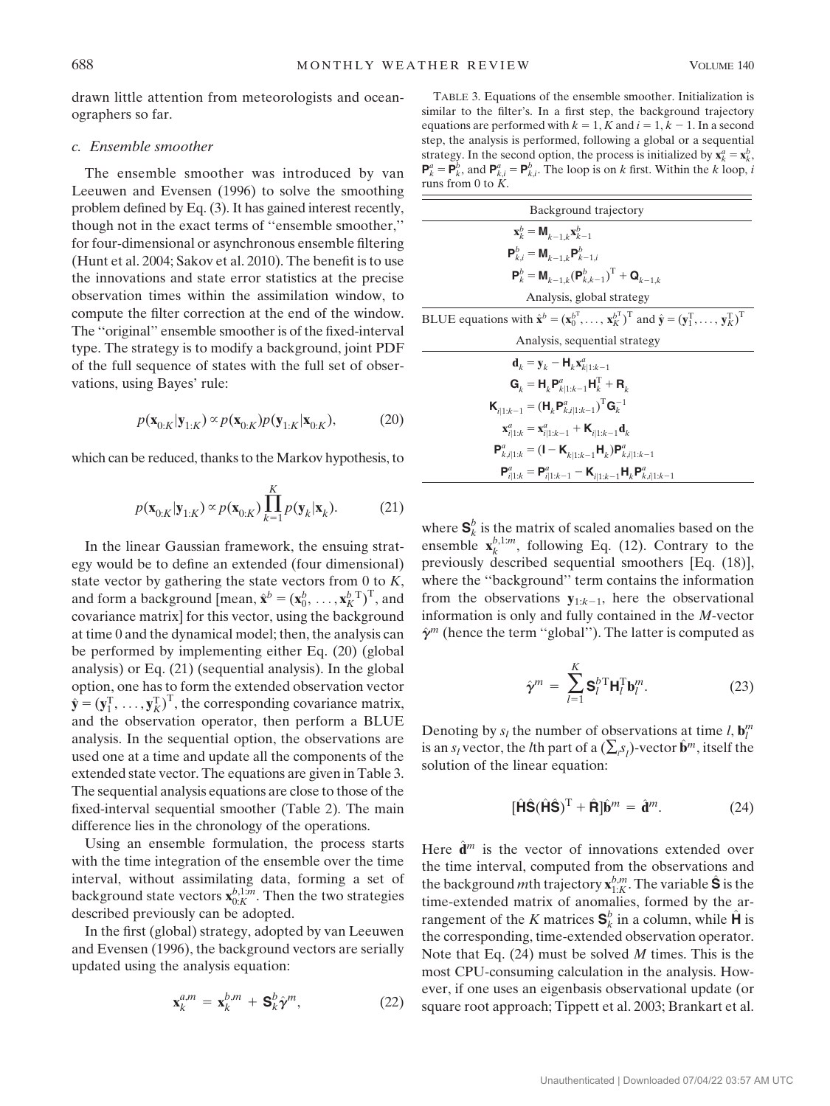drawn little attention from meteorologists and oceanographers so far.

#### c. Ensemble smoother

The ensemble smoother was introduced by van Leeuwen and Evensen (1996) to solve the smoothing problem defined by Eq. (3). It has gained interest recently, though not in the exact terms of ''ensemble smoother,'' for four-dimensional or asynchronous ensemble filtering (Hunt et al. 2004; Sakov et al. 2010). The benefit is to use the innovations and state error statistics at the precise observation times within the assimilation window, to compute the filter correction at the end of the window. The ''original'' ensemble smoother is of the fixed-interval type. The strategy is to modify a background, joint PDF of the full sequence of states with the full set of observations, using Bayes' rule:

$$
p(\mathbf{x}_{0:K}|\mathbf{y}_{1:K}) \propto p(\mathbf{x}_{0:K})p(\mathbf{y}_{1:K}|\mathbf{x}_{0:K}),
$$
 (20)

which can be reduced, thanks to the Markov hypothesis, to

$$
p(\mathbf{x}_{0:K}|\mathbf{y}_{1:K}) \propto p(\mathbf{x}_{0:K}) \prod_{k=1}^{K} p(\mathbf{y}_k|\mathbf{x}_k).
$$
 (21)

In the linear Gaussian framework, the ensuing strategy would be to define an extended (four dimensional) state vector by gathering the state vectors from  $0$  to  $K$ , and form a background [mean,  $\hat{\mathbf{x}}^b = (\mathbf{x}_0^b, \dots, \mathbf{x}_K^b)^T$ , and covariance matrix] for this vector, using the background at time 0 and the dynamical model; then, the analysis can be performed by implementing either Eq. (20) (global analysis) or Eq. (21) (sequential analysis). In the global option, one has to form the extended observation vector  $\hat{\mathbf{y}} = (\mathbf{y}_1^{\mathrm{T}}, \dots, \mathbf{y}_K^{\mathrm{T}})^{\mathrm{T}}$ , the corresponding covariance matrix, and the observation operator, then perform a BLUE analysis. In the sequential option, the observations are used one at a time and update all the components of the extended state vector. The equations are given in Table 3. The sequential analysis equations are close to those of the fixed-interval sequential smoother (Table 2). The main difference lies in the chronology of the operations.

Using an ensemble formulation, the process starts with the time integration of the ensemble over the time interval, without assimilating data, forming a set of background state vectors  $\mathbf{x}_{0:K}^{b,1:m}$ . Then the two strategies described previously can be adopted.

In the first (global) strategy, adopted by van Leeuwen and Evensen (1996), the background vectors are serially updated using the analysis equation:

$$
\mathbf{x}_{k}^{a,m} = \mathbf{x}_{k}^{b,m} + \mathbf{S}_{k}^{b} \hat{\boldsymbol{\gamma}}^{m}, \tag{22}
$$

TABLE 3. Equations of the ensemble smoother. Initialization is similar to the filter's. In a first step, the background trajectory equations are performed with  $k = 1, K$  and  $i = 1, k - 1$ . In a second step, the analysis is performed, following a global or a sequential strategy. In the second option, the process is initialized by  $\mathbf{x}_k^a = \mathbf{x}_k^b$ ,  $\mathbf{P}_{k}^{a} = \mathbf{P}_{k}^{b}$ , and  $\mathbf{P}_{k,i}^{a} = \mathbf{P}_{k,i}^{b}$ . The loop is on k first. Within the k loop, i runs from 0 to  $K$ .

| Background trajectory                                                                                                                                           |  |  |  |  |
|-----------------------------------------------------------------------------------------------------------------------------------------------------------------|--|--|--|--|
| $\mathbf{x}_k^b = \mathbf{M}_{k-1,k} \mathbf{x}_{k-1}^b$                                                                                                        |  |  |  |  |
| ${\bf P}_{k,i}^b={\bf M}_{k-1,k}{\bf P}_{k-1,i}^b$                                                                                                              |  |  |  |  |
| ${\bf P}_k^b={\bf M}_{k-1,k}({\bf P}_{k,k-1}^b)^{\rm T}+{\bf Q}_{k-1,k}$                                                                                        |  |  |  |  |
| Analysis, global strategy                                                                                                                                       |  |  |  |  |
| BLUE equations with $\hat{\mathbf{x}}^b = (\mathbf{x}_0^{b^T}, \dots, \mathbf{x}_K^{b^T})^T$ and $\hat{\mathbf{y}} = (\mathbf{y}_1^T, \dots, \mathbf{y}_K^T)^T$ |  |  |  |  |
| Analysis, sequential strategy                                                                                                                                   |  |  |  |  |
| $d_k = y_k - H_k x_{k+1-k-1}^a$                                                                                                                                 |  |  |  |  |
| $\mathbf{G}_k = \mathbf{H}_k \mathbf{P}_{k 1:k-1}^a \mathbf{H}_k^{\mathrm{T}} + \mathbf{R}_k$                                                                   |  |  |  |  |
| ${\bf K}_{i1:k-1} = ({\bf H}_k {\bf P}_{k,i1:k-1}^a)^{\rm T} {\bf G}_k^{-1}$                                                                                    |  |  |  |  |
| ${\bf x}_{i1:k}^a = {\bf x}_{i1:k-1}^a + {\bf K}_{i1:k-1} {\bf d}_k$                                                                                            |  |  |  |  |
| ${\bf P}^{a}_{k,i1:k} = ({\bf I}-{\bf K}_{k1:k-1}{\bf H}_{k}){\bf P}^{a}_{k,i1:k-1}$                                                                            |  |  |  |  |
| ${\bf P}^a_{i1:k}={\bf P}^a_{i1:k-1}-{\bf K}_{i1:k-1}{\bf H}_k{\bf P}^a_{k,i1:k-1}$                                                                             |  |  |  |  |
|                                                                                                                                                                 |  |  |  |  |

where  $S_k^b$  is the matrix of scaled anomalies based on the ensemble  $\mathbf{x}_{k}^{b,1:m}$ , following Eq. (12). Contrary to the previously described sequential smoothers [Eq. (18)], where the ''background'' term contains the information from the observations  $y_{1:k-1}$ , here the observational information is only and fully contained in the M-vector  $\hat{\gamma}^m$  (hence the term "global"). The latter is computed as

$$
\hat{\boldsymbol{\gamma}}^{m} = \sum_{l=1}^{K} \mathbf{S}_{l}^{b} \mathbf{T} \mathbf{H}_{l}^{T} \mathbf{b}_{l}^{m}.
$$
 (23)

Denoting by  $s_l$  the number of observations at time  $l$ ,  $\mathbf{b}_l^m$ is an  $s_l$  vector, the *l*th part of a ( $\sum_l s_l$ )-vector  $\hat{\mathbf{b}}^m$ , itself the solution of the linear equation:

$$
[\hat{\mathbf{H}}\hat{\mathbf{S}}(\hat{\mathbf{H}}\hat{\mathbf{S}})^{\mathrm{T}} + \hat{\mathbf{R}}]\hat{\mathbf{b}}^{m} = \hat{\mathbf{d}}^{m}.
$$
 (24)

Here  $\hat{\mathbf{d}}^m$  is the vector of innovations extended over the time interval, computed from the observations and the background *m*th trajectory  $\mathbf{x}_{1:K}^{b,m}$ . The variable  $\hat{\mathbf{S}}$  is the time-extended matrix of anomalies, formed by the arrangement of the K matrices  $\mathbf{S}_k^b$  in a column, while  $\hat{\mathbf{H}}$  is the corresponding, time-extended observation operator. Note that Eq.  $(24)$  must be solved *M* times. This is the most CPU-consuming calculation in the analysis. However, if one uses an eigenbasis observational update (or square root approach; Tippett et al. 2003; Brankart et al.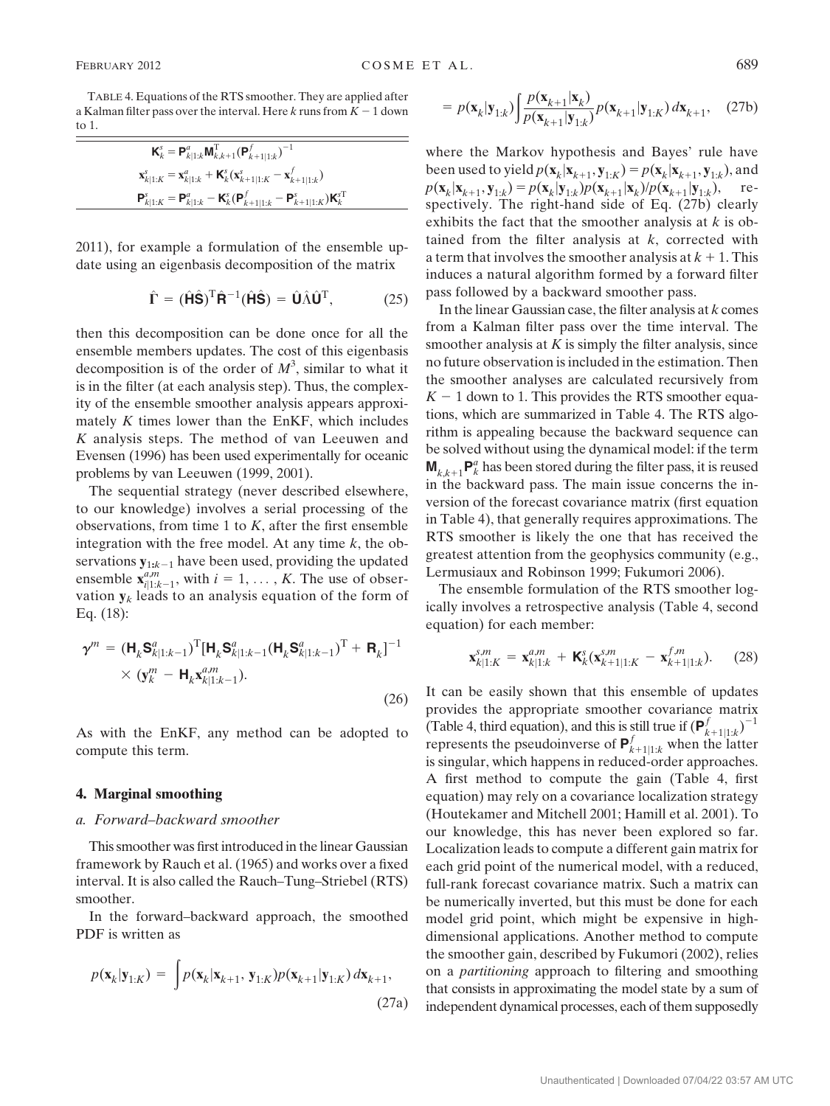TABLE 4. Equations of the RTS smoother. They are applied after a Kalman filter pass over the interval. Here k runs from  $K - 1$  down to 1.

$$
\begin{aligned} \mathbf{K}_k^s &= \mathbf{P}_{k|1:k}^a \mathbf{M}_{k,k+1}^T (\mathbf{P}_{k+1|1:k}^f)^{-1} \\ \mathbf{x}_{k|1:K}^s &= \mathbf{x}_{k|1:k}^a + \mathbf{K}_k^s (\mathbf{x}_{k+1|1:K}^s - \mathbf{x}_{k+1|1:k}^f) \\ \mathbf{P}_{k|1:K}^s &= \mathbf{P}_{k|1:k}^a - \mathbf{K}_k^s (\mathbf{P}_{k+1|1:k}^f - \mathbf{P}_{k+1|1:K}^s) \mathbf{K}_k^{sT} \end{aligned}
$$

2011), for example a formulation of the ensemble update using an eigenbasis decomposition of the matrix

$$
\hat{\Gamma} = (\hat{\mathbf{H}}\hat{\mathbf{S}})^{\mathrm{T}}\hat{\mathbf{R}}^{-1}(\hat{\mathbf{H}}\hat{\mathbf{S}}) = \hat{\mathbf{U}}\hat{\Lambda}\hat{\mathbf{U}}^{\mathrm{T}},
$$
 (25)

then this decomposition can be done once for all the ensemble members updates. The cost of this eigenbasis decomposition is of the order of  $M^3$ , similar to what it is in the filter (at each analysis step). Thus, the complexity of the ensemble smoother analysis appears approximately  $K$  times lower than the EnKF, which includes K analysis steps. The method of van Leeuwen and Evensen (1996) has been used experimentally for oceanic problems by van Leeuwen (1999, 2001).

The sequential strategy (never described elsewhere, to our knowledge) involves a serial processing of the observations, from time 1 to  $K$ , after the first ensemble integration with the free model. At any time  $k$ , the observations  $y_{1:k-1}$  have been used, providing the updated ensemble  $\mathbf{x}_{i|1:k-1}^{a,m}$ , with  $i = 1, \ldots, K$ . The use of observation  $y_k$  leads to an analysis equation of the form of Eq. (18):

$$
\gamma^{m} = (\mathbf{H}_{k} \mathbf{S}_{k|1:k-1}^{a})^{\mathrm{T}} [\mathbf{H}_{k} \mathbf{S}_{k|1:k-1}^{a} (\mathbf{H}_{k} \mathbf{S}_{k|1:k-1}^{a})^{\mathrm{T}} + \mathbf{R}_{k}]^{-1}
$$

$$
\times (\mathbf{y}_{k}^{m} - \mathbf{H}_{k} \mathbf{x}_{k|1:k-1}^{a,m}). \tag{26}
$$

As with the EnKF, any method can be adopted to compute this term.

### 4. Marginal smoothing

### a. Forward–backward smoother

This smoother was first introduced in the linear Gaussian framework by Rauch et al. (1965) and works over a fixed interval. It is also called the Rauch–Tung–Striebel (RTS) smoother.

In the forward–backward approach, the smoothed PDF is written as

$$
p(\mathbf{x}_{k}|\mathbf{y}_{1:K}) = \int p(\mathbf{x}_{k}|\mathbf{x}_{k+1}, \mathbf{y}_{1:K}) p(\mathbf{x}_{k+1}|\mathbf{y}_{1:K}) d\mathbf{x}_{k+1},
$$
\n(27a)

$$
= p(\mathbf{x}_{k}|\mathbf{y}_{1:k}) \int \frac{p(\mathbf{x}_{k+1}|\mathbf{x}_{k})}{p(\mathbf{x}_{k+1}|\mathbf{y}_{1:k})} p(\mathbf{x}_{k+1}|\mathbf{y}_{1:K}) d\mathbf{x}_{k+1}, \quad (27b)
$$

where the Markov hypothesis and Bayes' rule have been used to yield  $p(\mathbf{x}_k|\mathbf{x}_{k+1}, \mathbf{y}_{1:K}) = p(\mathbf{x}_k|\mathbf{x}_{k+1}, \mathbf{y}_{1:K})$ , and  $p(\mathbf{x}_{k}|\mathbf{x}_{k+1}, \mathbf{y}_{1:k}) = p(\mathbf{x}_{k}|\mathbf{y}_{1:k})p(\mathbf{x}_{k+1}|\mathbf{x}_{k})/p(\mathbf{x}_{k+1}|\mathbf{y}_{1:k}),$  respectively. The right-hand side of Eq. (27b) clearly exhibits the fact that the smoother analysis at  $k$  is obtained from the filter analysis at  $k$ , corrected with a term that involves the smoother analysis at  $k + 1$ . This induces a natural algorithm formed by a forward filter pass followed by a backward smoother pass.

In the linear Gaussian case, the filter analysis at  $k$  comes from a Kalman filter pass over the time interval. The smoother analysis at  $K$  is simply the filter analysis, since no future observation is included in the estimation. Then the smoother analyses are calculated recursively from  $K - 1$  down to 1. This provides the RTS smoother equations, which are summarized in Table 4. The RTS algorithm is appealing because the backward sequence can be solved without using the dynamical model: if the term  $M_{k,k+1}P_k^a$  has been stored during the filter pass, it is reused in the backward pass. The main issue concerns the inversion of the forecast covariance matrix (first equation in Table 4), that generally requires approximations. The RTS smoother is likely the one that has received the greatest attention from the geophysics community (e.g., Lermusiaux and Robinson 1999; Fukumori 2006).

The ensemble formulation of the RTS smoother logically involves a retrospective analysis (Table 4, second equation) for each member:

$$
\mathbf{x}_{k|1:K}^{s,m} = \mathbf{x}_{k|1:K}^{a,m} + \mathbf{K}_k^s(\mathbf{x}_{k+1|1:K}^{s,m} - \mathbf{x}_{k+1|1:K}^{f,m}).
$$
 (28)

It can be easily shown that this ensemble of updates provides the appropriate smoother covariance matrix (Table 4, third equation), and this is still true if  $(\mathbf{P}_{k+1|1:k}^f)^{-1}$ represents the pseudoinverse of  $\mathbf{P}_{k+1|1:k}^f$  when the latter is singular, which happens in reduced-order approaches. A first method to compute the gain (Table 4, first equation) may rely on a covariance localization strategy (Houtekamer and Mitchell 2001; Hamill et al. 2001). To our knowledge, this has never been explored so far. Localization leads to compute a different gain matrix for each grid point of the numerical model, with a reduced, full-rank forecast covariance matrix. Such a matrix can be numerically inverted, but this must be done for each model grid point, which might be expensive in highdimensional applications. Another method to compute the smoother gain, described by Fukumori (2002), relies on a *partitioning* approach to filtering and smoothing that consists in approximating the model state by a sum of independent dynamical processes, each of them supposedly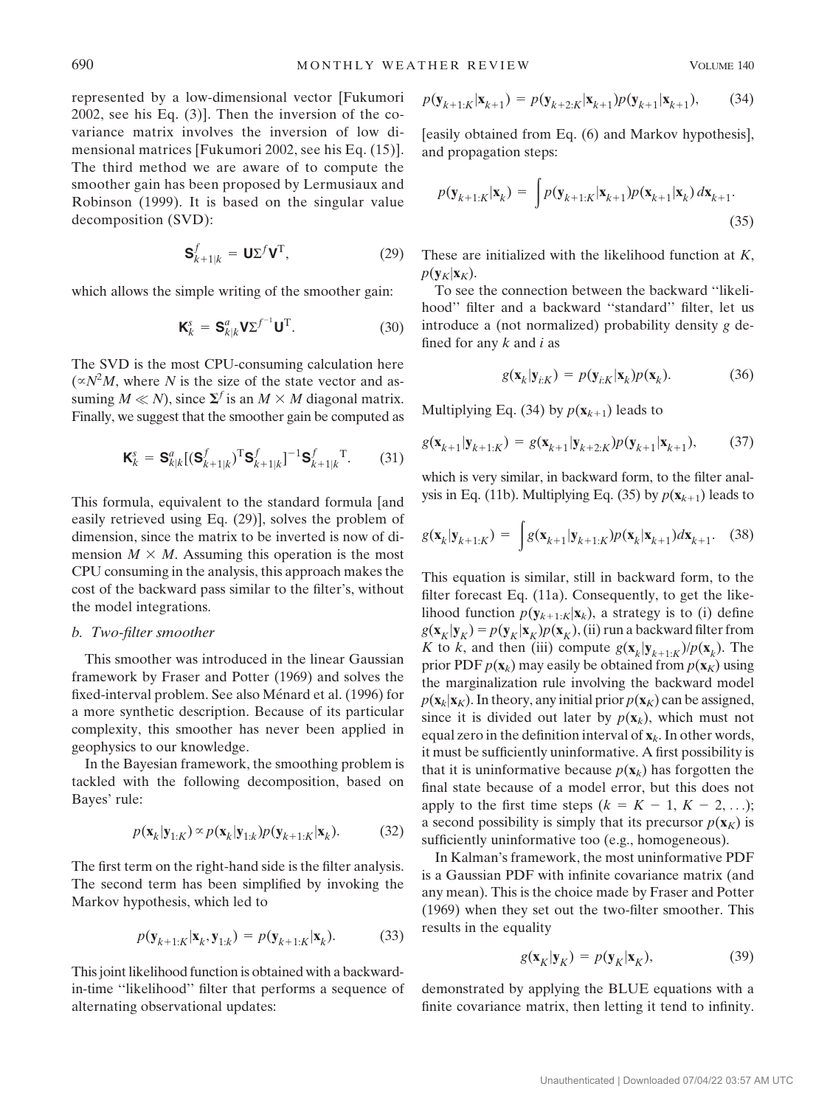represented by a low-dimensional vector [Fukumori 2002, see his Eq. (3)]. Then the inversion of the covariance matrix involves the inversion of low dimensional matrices [Fukumori 2002, see his Eq. (15)]. The third method we are aware of to compute the smoother gain has been proposed by Lermusiaux and Robinson (1999). It is based on the singular value decomposition (SVD):

$$
\mathbf{S}_{k+1|k}^{f} = \mathbf{U} \Sigma^{f} \mathbf{V}^{\mathrm{T}}, \tag{29}
$$

which allows the simple writing of the smoother gain:

$$
\mathbf{K}_k^s = \mathbf{S}_{k|k}^a \mathbf{V} \Sigma^{f^{-1}} \mathbf{U}^{\mathrm{T}}.
$$
 (30)

The SVD is the most CPU-consuming calculation here  $(\alpha N^2 M)$ , where N is the size of the state vector and assuming  $M \ll N$ ), since  $\Sigma^f$  is an  $M \times M$  diagonal matrix. Finally, we suggest that the smoother gain be computed as

$$
\mathbf{K}_{k}^{s} = \mathbf{S}_{k|k}^{a} [(\mathbf{S}_{k+1|k}^{f})^{\mathrm{T}} \mathbf{S}_{k+1|k}^{f}]^{-1} \mathbf{S}_{k+1|k}^{f}^{\mathrm{T}}.
$$
 (31)

This formula, equivalent to the standard formula [and easily retrieved using Eq. (29)], solves the problem of dimension, since the matrix to be inverted is now of dimension  $M \times M$ . Assuming this operation is the most CPU consuming in the analysis, this approach makes the cost of the backward pass similar to the filter's, without the model integrations.

#### b. Two-filter smoother

This smoother was introduced in the linear Gaussian framework by Fraser and Potter (1969) and solves the fixed-interval problem. See also Ménard et al. (1996) for a more synthetic description. Because of its particular complexity, this smoother has never been applied in geophysics to our knowledge.

In the Bayesian framework, the smoothing problem is tackled with the following decomposition, based on Bayes' rule:

$$
p(\mathbf{x}_k|\mathbf{y}_{1:K}) \propto p(\mathbf{x}_k|\mathbf{y}_{1:K})p(\mathbf{y}_{k+1:K}|\mathbf{x}_k). \tag{32}
$$

The first term on the right-hand side is the filter analysis. The second term has been simplified by invoking the Markov hypothesis, which led to

$$
p(\mathbf{y}_{k+1:K}|\mathbf{x}_k,\mathbf{y}_{1:k}) = p(\mathbf{y}_{k+1:K}|\mathbf{x}_k). \tag{33}
$$

This joint likelihood function is obtained with a backwardin-time ''likelihood'' filter that performs a sequence of alternating observational updates:

$$
p(\mathbf{y}_{k+1:K}|\mathbf{x}_{k+1}) = p(\mathbf{y}_{k+2:K}|\mathbf{x}_{k+1})p(\mathbf{y}_{k+1}|\mathbf{x}_{k+1}),
$$
 (34)

[easily obtained from Eq. (6) and Markov hypothesis], and propagation steps:

$$
p(\mathbf{y}_{k+1:K}|\mathbf{x}_k) = \int p(\mathbf{y}_{k+1:K}|\mathbf{x}_{k+1}) p(\mathbf{x}_{k+1}|\mathbf{x}_k) d\mathbf{x}_{k+1}.
$$
\n(35)

These are initialized with the likelihood function at  $K$ ,  $p(\mathbf{y}_K|\mathbf{x}_K).$ 

To see the connection between the backward ''likelihood'' filter and a backward ''standard'' filter, let us introduce a (not normalized) probability density g defined for any  $k$  and  $i$  as

$$
g(\mathbf{x}_k|\mathbf{y}_{i:K}) = p(\mathbf{y}_{i:K}|\mathbf{x}_k)p(\mathbf{x}_k). \tag{36}
$$

Multiplying Eq. (34) by  $p(\mathbf{x}_{k+1})$  leads to

$$
g(\mathbf{x}_{k+1}|\mathbf{y}_{k+1:K}) = g(\mathbf{x}_{k+1}|\mathbf{y}_{k+2:K})p(\mathbf{y}_{k+1}|\mathbf{x}_{k+1}),
$$
 (37)

which is very similar, in backward form, to the filter analysis in Eq. (11b). Multiplying Eq. (35) by  $p(\mathbf{x}_{k+1})$  leads to

$$
g(\mathbf{x}_{k}|\mathbf{y}_{k+1:K}) = \int g(\mathbf{x}_{k+1}|\mathbf{y}_{k+1:K}) p(\mathbf{x}_{k}|\mathbf{x}_{k+1}) d\mathbf{x}_{k+1}.
$$
 (38)

This equation is similar, still in backward form, to the filter forecast Eq. (11a). Consequently, to get the likelihood function  $p(\mathbf{y}_{k+1:K}|\mathbf{x}_k)$ , a strategy is to (i) define  $g(\mathbf{x}_K|\mathbf{y}_K) = p(\mathbf{y}_K|\mathbf{x}_K)p(\mathbf{x}_K)$ , (ii) run a backward filter from K to k, and then (iii) compute  $g(\mathbf{x}_k|\mathbf{y}_{k+1:K})/p(\mathbf{x}_k)$ . The prior PDF  $p(\mathbf{x}_k)$  may easily be obtained from  $p(\mathbf{x}_k)$  using the marginalization rule involving the backward model  $p(\mathbf{x}_k|\mathbf{x}_K)$ . In theory, any initial prior  $p(\mathbf{x}_K)$  can be assigned, since it is divided out later by  $p(\mathbf{x}_k)$ , which must not equal zero in the definition interval of  $\mathbf{x}_k$ . In other words, it must be sufficiently uninformative. A first possibility is that it is uninformative because  $p(\mathbf{x}_k)$  has forgotten the final state because of a model error, but this does not apply to the first time steps ( $k = K - 1, K - 2, \ldots$ ); a second possibility is simply that its precursor  $p(\mathbf{x}_K)$  is sufficiently uninformative too (e.g., homogeneous).

In Kalman's framework, the most uninformative PDF is a Gaussian PDF with infinite covariance matrix (and any mean). This is the choice made by Fraser and Potter (1969) when they set out the two-filter smoother. This results in the equality

$$
g(\mathbf{x}_K|\mathbf{y}_K) = p(\mathbf{y}_K|\mathbf{x}_K),\tag{39}
$$

demonstrated by applying the BLUE equations with a finite covariance matrix, then letting it tend to infinity.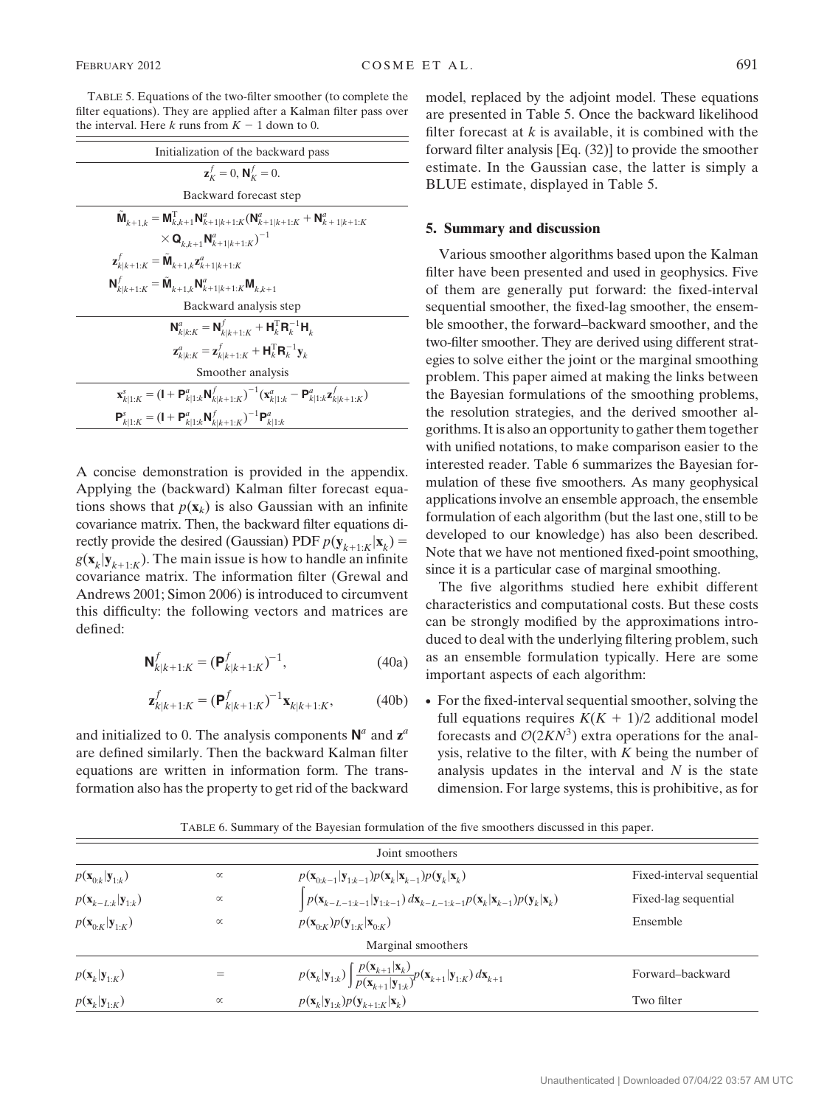TABLE 5. Equations of the two-filter smoother (to complete the filter equations). They are applied after a Kalman filter pass over the interval. Here k runs from  $K - 1$  down to 0.

| Initialization of the backward pass                                                                                                                           |  |  |
|---------------------------------------------------------------------------------------------------------------------------------------------------------------|--|--|
| $z_{V}^{f} = 0, N_{V}^{f} = 0.$                                                                                                                               |  |  |
| Backward forecast step                                                                                                                                        |  |  |
| $\widetilde{\mathbf{M}}_{k+1,k} = \mathbf{M}_{k,k+1}^{\mathrm{T}} \mathbf{N}_{k+1 k+1:K}^{a} (\mathbf{N}_{k+1 k+1:K}^{a} + \mathbf{N}_{k+1 k+1:K}^{a})$       |  |  |
| $\times$ Q <sub>kk+1</sub> N <sup>a</sup> <sub>k+1lk+1:K</sub> ) <sup>-1</sup>                                                                                |  |  |
| $z^{f}_{k k+1\cdot K} = \widetilde{\mathbf{M}}_{k+1,k} \mathbf{z}^{a}_{k+1 k+1:K}$                                                                            |  |  |
| $N_{k k+1:K}^f = \tilde{M}_{k+1,k} N_{k+1 k+1:K}^d M_{k,k+1}$                                                                                                 |  |  |
| Backward analysis step                                                                                                                                        |  |  |
| $\mathbf{N}_{k k:K}^a = \mathbf{N}_{k k+1:K}^f + \mathbf{H}_k^{\mathrm{T}} \mathbf{R}_k^{-1} \mathbf{H}_k$                                                    |  |  |
| $\mathbf{z}_{k k\cdot K}^a = \mathbf{z}_{k k+1\cdot K}^f + \mathbf{H}_k^{\mathrm{T}} \mathbf{R}_k^{-1} \mathbf{y}_k$                                          |  |  |
| Smoother analysis                                                                                                                                             |  |  |
| $\mathbf{x}_{k 1:K}^s = (\mathbf{l} + \mathbf{P}_{k 1:K}^a \mathbf{N}_{k k+1:K}^f)^{-1} (\mathbf{x}_{k 1:K}^a - \mathbf{P}_{k 1:K}^a \mathbf{z}_{k k+1:K}^f)$ |  |  |
| ${\bf P}^s_{k 1:K} = ({\bf I} + {\bf P}^a_{k 1:k} {\bf N}^f_{k k+1:K})^{-1} {\bf P}^a_{k 1:k}$                                                                |  |  |

A concise demonstration is provided in the appendix. Applying the (backward) Kalman filter forecast equations shows that  $p(\mathbf{x}_k)$  is also Gaussian with an infinite covariance matrix. Then, the backward filter equations directly provide the desired (Gaussian) PDF  $p(\mathbf{y}_{k+1:K}|\mathbf{x}_k)$  =  $g(\mathbf{x}_{k}|\mathbf{y}_{k+1:K})$ . The main issue is how to handle an infinite covariance matrix. The information filter (Grewal and Andrews 2001; Simon 2006) is introduced to circumvent this difficulty: the following vectors and matrices are defined:

$$
\mathbf{N}_{k|k+1:K}^{f} = (\mathbf{P}_{k|k+1:K}^{f})^{-1},
$$
\n(40a)

$$
\mathbf{z}_{k|k+1:K}^f = (\mathbf{P}_{k|k+1:K}^f)^{-1} \mathbf{x}_{k|k+1:K},
$$
 (40b)

and initialized to 0. The analysis components  $N^a$  and  $z^a$ are defined similarly. Then the backward Kalman filter equations are written in information form. The transformation also has the property to get rid of the backward model, replaced by the adjoint model. These equations are presented in Table 5. Once the backward likelihood filter forecast at  $k$  is available, it is combined with the forward filter analysis [Eq. (32)] to provide the smoother estimate. In the Gaussian case, the latter is simply a BLUE estimate, displayed in Table 5.

# 5. Summary and discussion

Various smoother algorithms based upon the Kalman filter have been presented and used in geophysics. Five of them are generally put forward: the fixed-interval sequential smoother, the fixed-lag smoother, the ensemble smoother, the forward–backward smoother, and the two-filter smoother. They are derived using different strategies to solve either the joint or the marginal smoothing problem. This paper aimed at making the links between the Bayesian formulations of the smoothing problems, the resolution strategies, and the derived smoother algorithms. It is also an opportunity to gather them together with unified notations, to make comparison easier to the interested reader. Table 6 summarizes the Bayesian formulation of these five smoothers. As many geophysical applications involve an ensemble approach, the ensemble formulation of each algorithm (but the last one, still to be developed to our knowledge) has also been described. Note that we have not mentioned fixed-point smoothing, since it is a particular case of marginal smoothing.

The five algorithms studied here exhibit different characteristics and computational costs. But these costs can be strongly modified by the approximations introduced to deal with the underlying filtering problem, such as an ensemble formulation typically. Here are some important aspects of each algorithm:

• For the fixed-interval sequential smoother, solving the full equations requires  $K(K + 1)/2$  additional model forecasts and  $O(2KN^3)$  extra operations for the analysis, relative to the filter, with  $K$  being the number of analysis updates in the interval and  $N$  is the state dimension. For large systems, this is prohibitive, as for

|                                          |           | Joint smoothers                                                                                                                                                                            |                           |
|------------------------------------------|-----------|--------------------------------------------------------------------------------------------------------------------------------------------------------------------------------------------|---------------------------|
| $p({\bf x}_{0:k} {\bf y}_{1:k})$         | $\propto$ | $p(\mathbf{x}_{0:k-1} \mathbf{y}_{1:k-1})p(\mathbf{x}_k \mathbf{x}_{k-1})p(\mathbf{y}_k \mathbf{x}_k)$                                                                                     | Fixed-interval sequential |
| $p(\mathbf{x}_{k-L:k} \mathbf{y}_{1:k})$ | $\propto$ | $\hspace{-.2in}\int p(\mathbf{x}_{k-L-1:k-1} \mathbf{y}_{1:k-1})\,d\mathbf{x}_{k-L-1:k-1}p(\mathbf{x}_k \mathbf{x}_{k-1})p(\mathbf{y}_k \mathbf{x}_k)$                                     | Fixed-lag sequential      |
| $p({\bf x}_{0:K} {\bf y}_{1:K})$         | $\propto$ | $p(\mathbf{x}_{0:K})p(\mathbf{y}_{1:K} \mathbf{x}_{0:K})$                                                                                                                                  | Ensemble                  |
|                                          |           | Marginal smoothers                                                                                                                                                                         |                           |
| $p(\mathbf{x}_k \mathbf{y}_{1:K})$       | $=$       | $p(\mathbf{x}_{k} \mathbf{y}_{1:k}) \left( \frac{p(\mathbf{x}_{k+1} \mathbf{x}_{k})}{p(\mathbf{x}_{k+1} \mathbf{y}_{1:k})} p(\mathbf{x}_{k+1} \mathbf{y}_{1:K}) d\mathbf{x}_{k+1} \right)$ | Forward-backward          |
| $p(\mathbf{x}_k \mathbf{y}_{1:K})$       | $\propto$ | $p(\mathbf{x}_{k} \mathbf{y}_{1:k})p(\mathbf{y}_{k+1:K} \mathbf{x}_{k})$                                                                                                                   | Two filter                |

TABLE 6. Summary of the Bayesian formulation of the five smoothers discussed in this paper.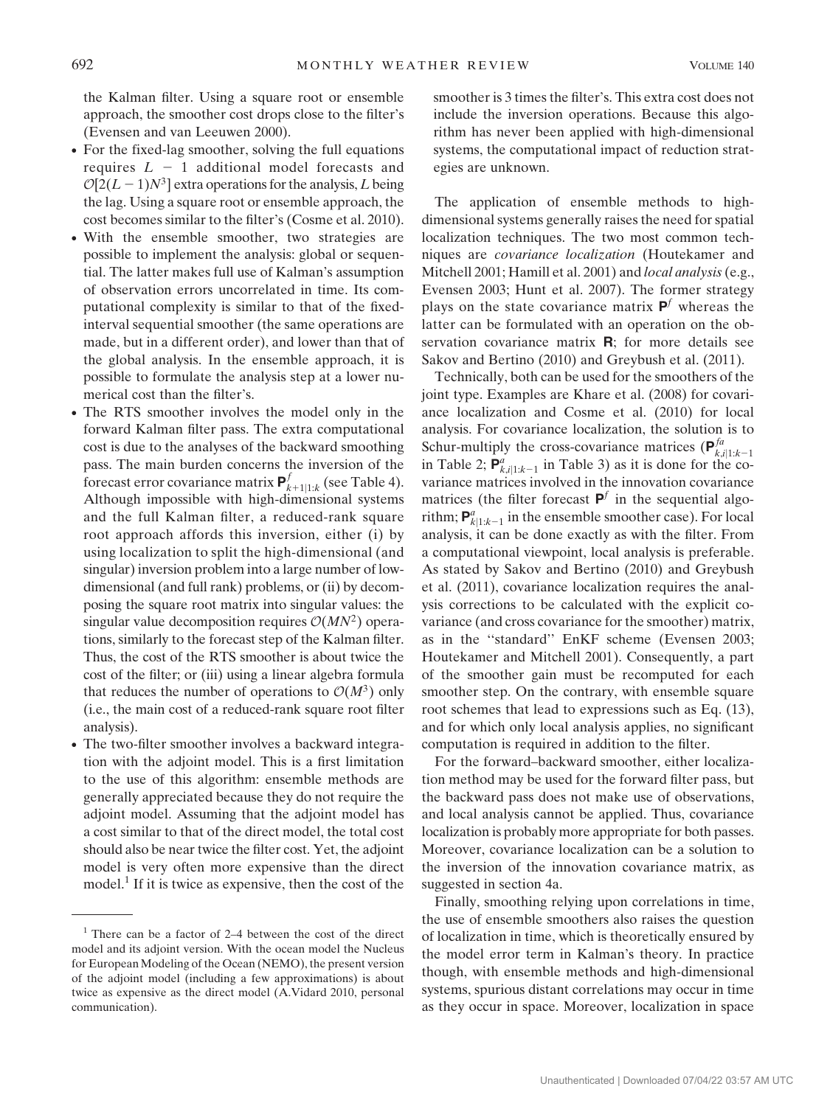the Kalman filter. Using a square root or ensemble approach, the smoother cost drops close to the filter's (Evensen and van Leeuwen 2000).

- For the fixed-lag smoother, solving the full equations requires  $L - 1$  additional model forecasts and  $\mathcal{O}[2(L-1)N^3]$  extra operations for the analysis, L being the lag. Using a square root or ensemble approach, the cost becomes similar to the filter's (Cosme et al. 2010).
- With the ensemble smoother, two strategies are possible to implement the analysis: global or sequential. The latter makes full use of Kalman's assumption of observation errors uncorrelated in time. Its computational complexity is similar to that of the fixedinterval sequential smoother (the same operations are made, but in a different order), and lower than that of the global analysis. In the ensemble approach, it is possible to formulate the analysis step at a lower numerical cost than the filter's.
- The RTS smoother involves the model only in the forward Kalman filter pass. The extra computational cost is due to the analyses of the backward smoothing pass. The main burden concerns the inversion of the forecast error covariance matrix  $\mathbf{P}_{k+1|1:k}^f$  (see Table 4). Although impossible with high-dimensional systems and the full Kalman filter, a reduced-rank square root approach affords this inversion, either (i) by using localization to split the high-dimensional (and singular) inversion problem into a large number of lowdimensional (and full rank) problems, or (ii) by decomposing the square root matrix into singular values: the singular value decomposition requires  $\mathcal{O}(MN^2)$  operations, similarly to the forecast step of the Kalman filter. Thus, the cost of the RTS smoother is about twice the cost of the filter; or (iii) using a linear algebra formula that reduces the number of operations to  $\mathcal{O}(M^3)$  only (i.e., the main cost of a reduced-rank square root filter analysis).
- The two-filter smoother involves a backward integration with the adjoint model. This is a first limitation to the use of this algorithm: ensemble methods are generally appreciated because they do not require the adjoint model. Assuming that the adjoint model has a cost similar to that of the direct model, the total cost should also be near twice the filter cost. Yet, the adjoint model is very often more expensive than the direct model. $\frac{1}{1}$  If it is twice as expensive, then the cost of the

smoother is 3 times the filter's. This extra cost does not include the inversion operations. Because this algorithm has never been applied with high-dimensional systems, the computational impact of reduction strategies are unknown.

The application of ensemble methods to highdimensional systems generally raises the need for spatial localization techniques. The two most common techniques are covariance localization (Houtekamer and Mitchell 2001; Hamill et al. 2001) and *local analysis* (e.g., Evensen 2003; Hunt et al. 2007). The former strategy plays on the state covariance matrix  $P<sup>f</sup>$  whereas the latter can be formulated with an operation on the observation covariance matrix **R**; for more details see Sakov and Bertino (2010) and Greybush et al. (2011).

Technically, both can be used for the smoothers of the joint type. Examples are Khare et al. (2008) for covariance localization and Cosme et al. (2010) for local analysis. For covariance localization, the solution is to Schur-multiply the cross-covariance matrices ( $P_{k,i|1:k-1}^{fa}$ in Table 2;  $\mathbf{P}_{k,i|1:k-1}^a$  in Table 3) as it is done for the covariance matrices involved in the innovation covariance matrices (the filter forecast  $P^f$  in the sequential algorithm;  $\mathbf{P}_{k|1:k-1}^a$  in the ensemble smoother case). For local analysis, it can be done exactly as with the filter. From a computational viewpoint, local analysis is preferable. As stated by Sakov and Bertino (2010) and Greybush et al. (2011), covariance localization requires the analysis corrections to be calculated with the explicit covariance (and cross covariance for the smoother) matrix, as in the ''standard'' EnKF scheme (Evensen 2003; Houtekamer and Mitchell 2001). Consequently, a part of the smoother gain must be recomputed for each smoother step. On the contrary, with ensemble square root schemes that lead to expressions such as Eq. (13), and for which only local analysis applies, no significant computation is required in addition to the filter.

For the forward–backward smoother, either localization method may be used for the forward filter pass, but the backward pass does not make use of observations, and local analysis cannot be applied. Thus, covariance localization is probably more appropriate for both passes. Moreover, covariance localization can be a solution to the inversion of the innovation covariance matrix, as suggested in section 4a.

Finally, smoothing relying upon correlations in time, the use of ensemble smoothers also raises the question of localization in time, which is theoretically ensured by the model error term in Kalman's theory. In practice though, with ensemble methods and high-dimensional systems, spurious distant correlations may occur in time as they occur in space. Moreover, localization in space

 $1$  There can be a factor of 2–4 between the cost of the direct model and its adjoint version. With the ocean model the Nucleus for European Modeling of the Ocean (NEMO), the present version of the adjoint model (including a few approximations) is about twice as expensive as the direct model (A.Vidard 2010, personal communication).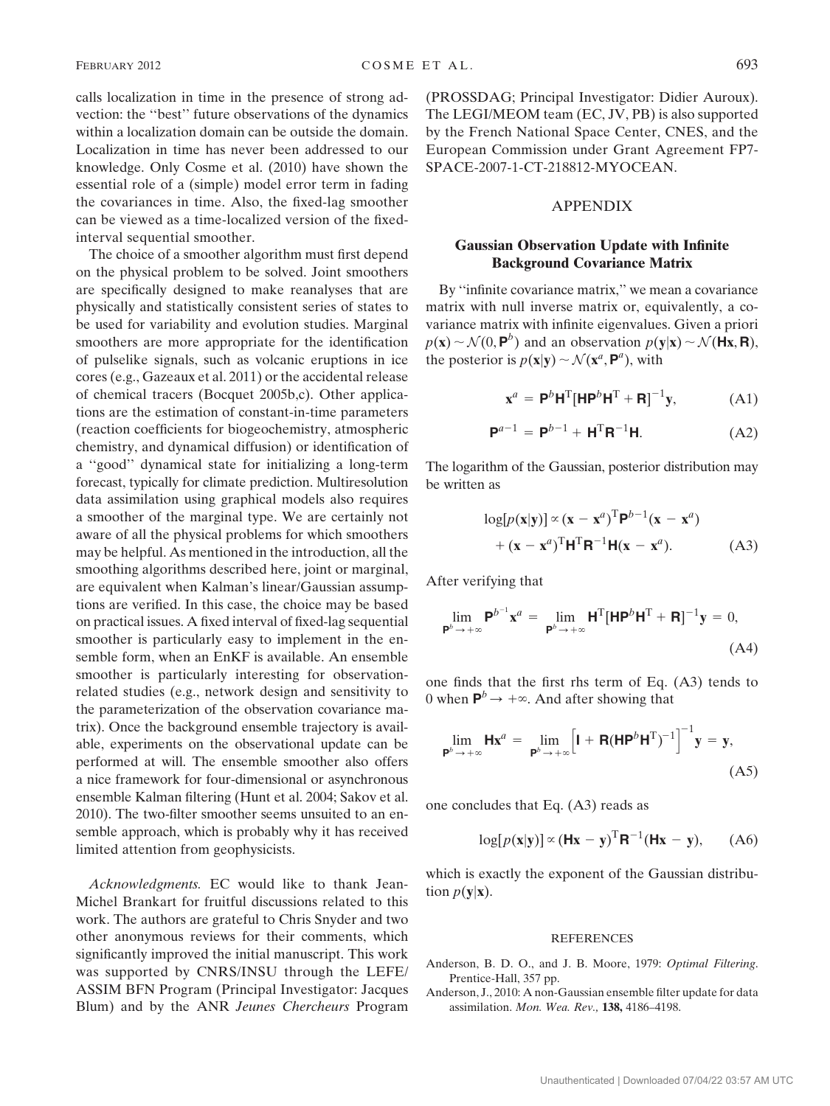FEBRUARY 2012 COSME ET AL. 693

calls localization in time in the presence of strong advection: the ''best'' future observations of the dynamics within a localization domain can be outside the domain. Localization in time has never been addressed to our knowledge. Only Cosme et al. (2010) have shown the essential role of a (simple) model error term in fading the covariances in time. Also, the fixed-lag smoother can be viewed as a time-localized version of the fixedinterval sequential smoother.

The choice of a smoother algorithm must first depend on the physical problem to be solved. Joint smoothers are specifically designed to make reanalyses that are physically and statistically consistent series of states to be used for variability and evolution studies. Marginal smoothers are more appropriate for the identification of pulselike signals, such as volcanic eruptions in ice cores (e.g., Gazeaux et al. 2011) or the accidental release of chemical tracers (Bocquet 2005b,c). Other applications are the estimation of constant-in-time parameters (reaction coefficients for biogeochemistry, atmospheric chemistry, and dynamical diffusion) or identification of a ''good'' dynamical state for initializing a long-term forecast, typically for climate prediction. Multiresolution data assimilation using graphical models also requires a smoother of the marginal type. We are certainly not aware of all the physical problems for which smoothers may be helpful. As mentioned in the introduction, all the smoothing algorithms described here, joint or marginal, are equivalent when Kalman's linear/Gaussian assumptions are verified. In this case, the choice may be based on practical issues. A fixed interval of fixed-lag sequential smoother is particularly easy to implement in the ensemble form, when an EnKF is available. An ensemble smoother is particularly interesting for observationrelated studies (e.g., network design and sensitivity to the parameterization of the observation covariance matrix). Once the background ensemble trajectory is available, experiments on the observational update can be performed at will. The ensemble smoother also offers a nice framework for four-dimensional or asynchronous ensemble Kalman filtering (Hunt et al. 2004; Sakov et al. 2010). The two-filter smoother seems unsuited to an ensemble approach, which is probably why it has received limited attention from geophysicists.

Acknowledgments. EC would like to thank Jean-Michel Brankart for fruitful discussions related to this work. The authors are grateful to Chris Snyder and two other anonymous reviews for their comments, which significantly improved the initial manuscript. This work was supported by CNRS/INSU through the LEFE/ ASSIM BFN Program (Principal Investigator: Jacques Blum) and by the ANR Jeunes Chercheurs Program (PROSSDAG; Principal Investigator: Didier Auroux). The LEGI/MEOM team (EC, JV, PB) is also supported by the French National Space Center, CNES, and the European Commission under Grant Agreement FP7- SPACE-2007-1-CT-218812-MYOCEAN.

## APPENDIX

# Gaussian Observation Update with Infinite Background Covariance Matrix

By "infinite covariance matrix," we mean a covariance matrix with null inverse matrix or, equivalently, a covariance matrix with infinite eigenvalues. Given a priori  $p(\mathbf{x}) \sim \mathcal{N}(0, \mathbf{P}^b)$  and an observation  $p(\mathbf{y}|\mathbf{x}) \sim \mathcal{N}(\mathbf{H}\mathbf{x}, \mathbf{R}),$ the posterior is  $p(\mathbf{x}|\mathbf{y}) \sim \mathcal{N}(\mathbf{x}^a, \mathbf{P}^a)$ , with

$$
\mathbf{x}^a = \mathbf{P}^b \mathbf{H}^{\mathrm{T}} [\mathbf{H} \mathbf{P}^b \mathbf{H}^{\mathrm{T}} + \mathbf{R}]^{-1} \mathbf{y}, \tag{A1}
$$

$$
\mathbf{P}^{a-1} = \mathbf{P}^{b-1} + \mathbf{H}^{\mathrm{T}} \mathbf{R}^{-1} \mathbf{H}.
$$
 (A2)

The logarithm of the Gaussian, posterior distribution may be written as

$$
\log[p(\mathbf{x}|\mathbf{y})] \propto (\mathbf{x} - \mathbf{x}^a)^{\mathrm{T}} \mathbf{P}^{b-1} (\mathbf{x} - \mathbf{x}^a)
$$

$$
+ (\mathbf{x} - \mathbf{x}^a)^{\mathrm{T}} \mathbf{H}^{\mathrm{T}} \mathbf{R}^{-1} \mathbf{H} (\mathbf{x} - \mathbf{x}^a). \tag{A3}
$$

After verifying that

$$
\lim_{\mathbf{P}^b \to +\infty} \mathbf{P}^{b^{-1}} \mathbf{x}^a = \lim_{\mathbf{P}^b \to +\infty} \mathbf{H}^{\mathrm{T}} [\mathbf{H} \mathbf{P}^b \mathbf{H}^{\mathrm{T}} + \mathbf{R}]^{-1} \mathbf{y} = 0,
$$
\n(A4)

one finds that the first rhs term of Eq. (A3) tends to 0 when  $\mathbf{P}^b \to +\infty$ . And after showing that

$$
\lim_{\mathbf{p}^b \to +\infty} \mathbf{H} \mathbf{x}^a = \lim_{\mathbf{p}^b \to +\infty} \left[ \mathbf{I} + \mathbf{R} (\mathbf{H} \mathbf{P}^b \mathbf{H}^T)^{-1} \right]^{-1} \mathbf{y} = \mathbf{y},
$$
\n(A5)

one concludes that Eq. (A3) reads as

$$
\log[p(\mathbf{x}|\mathbf{y})] \propto (\mathbf{H}\mathbf{x} - \mathbf{y})^{\mathrm{T}} \mathbf{R}^{-1} (\mathbf{H}\mathbf{x} - \mathbf{y}), \quad \text{(A6)}
$$

which is exactly the exponent of the Gaussian distribution  $p(y|x)$ .

#### **REFERENCES**

- Anderson, B. D. O., and J. B. Moore, 1979: Optimal Filtering. Prentice-Hall, 357 pp.
- Anderson, J., 2010: A non-Gaussian ensemble filter update for data assimilation. Mon. Wea. Rev., 138, 4186–4198.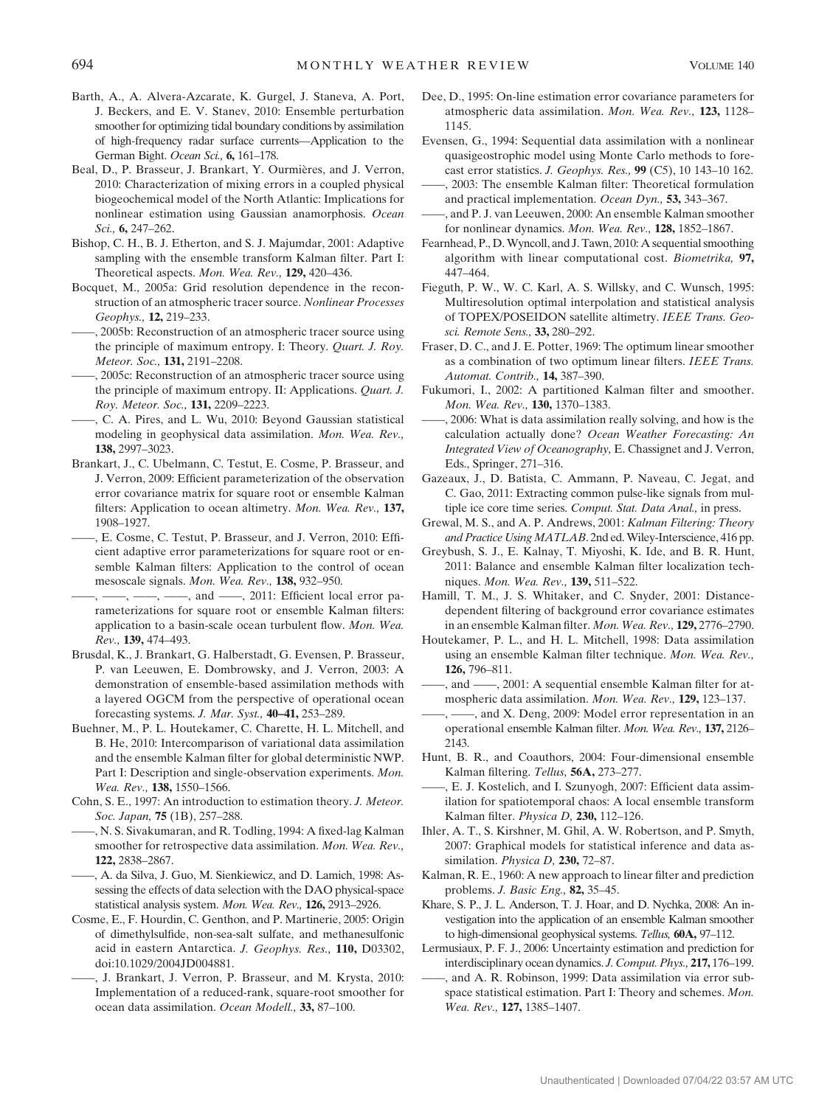- Barth, A., A. Alvera-Azcarate, K. Gurgel, J. Staneva, A. Port, J. Beckers, and E. V. Stanev, 2010: Ensemble perturbation smoother for optimizing tidal boundary conditions by assimilation of high-frequency radar surface currents—Application to the German Bight. Ocean Sci., 6, 161–178.
- Beal, D., P. Brasseur, J. Brankart, Y. Ourmières, and J. Verron, 2010: Characterization of mixing errors in a coupled physical biogeochemical model of the North Atlantic: Implications for nonlinear estimation using Gaussian anamorphosis. Ocean Sci., 6, 247–262.
- Bishop, C. H., B. J. Etherton, and S. J. Majumdar, 2001: Adaptive sampling with the ensemble transform Kalman filter. Part I: Theoretical aspects. Mon. Wea. Rev., 129, 420–436.
- Bocquet, M., 2005a: Grid resolution dependence in the reconstruction of an atmospheric tracer source. Nonlinear Processes Geophys., 12, 219–233.
- ——, 2005b: Reconstruction of an atmospheric tracer source using the principle of maximum entropy. I: Theory. Quart. J. Roy. Meteor. Soc., 131, 2191–2208.
- ——, 2005c: Reconstruction of an atmospheric tracer source using the principle of maximum entropy. II: Applications. Quart. J. Roy. Meteor. Soc., 131, 2209–2223.
- ——, C. A. Pires, and L. Wu, 2010: Beyond Gaussian statistical modeling in geophysical data assimilation. Mon. Wea. Rev., 138, 2997–3023.
- Brankart, J., C. Ubelmann, C. Testut, E. Cosme, P. Brasseur, and J. Verron, 2009: Efficient parameterization of the observation error covariance matrix for square root or ensemble Kalman filters: Application to ocean altimetry. Mon. Wea. Rev., 137, 1908–1927.
- ——, E. Cosme, C. Testut, P. Brasseur, and J. Verron, 2010: Efficient adaptive error parameterizations for square root or ensemble Kalman filters: Application to the control of ocean mesoscale signals. Mon. Wea. Rev., 138, 932–950.
	- ——, ——, ——, ——, and ——, 2011: Efficient local error parameterizations for square root or ensemble Kalman filters: application to a basin-scale ocean turbulent flow. Mon. Wea. Rev., 139, 474–493.
- Brusdal, K., J. Brankart, G. Halberstadt, G. Evensen, P. Brasseur, P. van Leeuwen, E. Dombrowsky, and J. Verron, 2003: A demonstration of ensemble-based assimilation methods with a layered OGCM from the perspective of operational ocean forecasting systems. J. Mar. Syst., 40–41, 253–289.
- Buehner, M., P. L. Houtekamer, C. Charette, H. L. Mitchell, and B. He, 2010: Intercomparison of variational data assimilation and the ensemble Kalman filter for global deterministic NWP. Part I: Description and single-observation experiments. Mon. Wea. Rev., 138, 1550–1566.
- Cohn, S. E., 1997: An introduction to estimation theory. J. Meteor. Soc. Japan, **75** (1B), 257-288.
- -, N. S. Sivakumaran, and R. Todling, 1994: A fixed-lag Kalman smoother for retrospective data assimilation. Mon. Wea. Rev., 122, 2838–2867.
- ——, A. da Silva, J. Guo, M. Sienkiewicz, and D. Lamich, 1998: Assessing the effects of data selection with the DAO physical-space statistical analysis system. Mon. Wea. Rev., 126, 2913–2926.
- Cosme, E., F. Hourdin, C. Genthon, and P. Martinerie, 2005: Origin of dimethylsulfide, non-sea-salt sulfate, and methanesulfonic acid in eastern Antarctica. J. Geophys. Res., 110, D03302, doi:10.1029/2004JD004881.
- ——, J. Brankart, J. Verron, P. Brasseur, and M. Krysta, 2010: Implementation of a reduced-rank, square-root smoother for ocean data assimilation. Ocean Modell., 33, 87–100.
- Dee, D., 1995: On-line estimation error covariance parameters for atmospheric data assimilation. Mon. Wea. Rev., 123, 1128– 1145.
- Evensen, G., 1994: Sequential data assimilation with a nonlinear quasigeostrophic model using Monte Carlo methods to forecast error statistics. J. Geophys. Res., 99 (C5), 10 143–10 162.
- ——, 2003: The ensemble Kalman filter: Theoretical formulation and practical implementation. Ocean Dyn., 53, 343–367.
- ——, and P. J. van Leeuwen, 2000: An ensemble Kalman smoother for nonlinear dynamics. Mon. Wea. Rev., 128, 1852–1867.
- Fearnhead, P., D.Wyncoll, and J. Tawn, 2010: A sequential smoothing algorithm with linear computational cost. Biometrika, 97, 447–464.
- Fieguth, P. W., W. C. Karl, A. S. Willsky, and C. Wunsch, 1995: Multiresolution optimal interpolation and statistical analysis of TOPEX/POSEIDON satellite altimetry. IEEE Trans. Geosci. Remote Sens., 33, 280–292.
- Fraser, D. C., and J. E. Potter, 1969: The optimum linear smoother as a combination of two optimum linear filters. IEEE Trans. Automat. Contrib., 14, 387–390.
- Fukumori, I., 2002: A partitioned Kalman filter and smoother. Mon. Wea. Rev., 130, 1370–1383.
- ——, 2006: What is data assimilation really solving, and how is the calculation actually done? Ocean Weather Forecasting: An Integrated View of Oceanography, E. Chassignet and J. Verron, Eds., Springer, 271–316.
- Gazeaux, J., D. Batista, C. Ammann, P. Naveau, C. Jegat, and C. Gao, 2011: Extracting common pulse-like signals from multiple ice core time series. Comput. Stat. Data Anal., in press.
- Grewal, M. S., and A. P. Andrews, 2001: Kalman Filtering: Theory and Practice Using MATLAB. 2nd ed. Wiley-Interscience, 416 pp.
- Greybush, S. J., E. Kalnay, T. Miyoshi, K. Ide, and B. R. Hunt, 2011: Balance and ensemble Kalman filter localization techniques. Mon. Wea. Rev., 139, 511–522.
- Hamill, T. M., J. S. Whitaker, and C. Snyder, 2001: Distancedependent filtering of background error covariance estimates in an ensemble Kalman filter. Mon. Wea. Rev., 129, 2776-2790.
- Houtekamer, P. L., and H. L. Mitchell, 1998: Data assimilation using an ensemble Kalman filter technique. Mon. Wea. Rev., 126, 796–811.
- -, and  $\frac{m}{2001}$ : A sequential ensemble Kalman filter for atmospheric data assimilation. Mon. Wea. Rev., 129, 123–137.
- -, and X. Deng, 2009: Model error representation in an operational ensemble Kalman filter. Mon. Wea. Rev., 137, 2126– 2143.
- Hunt, B. R., and Coauthors, 2004: Four-dimensional ensemble Kalman filtering. Tellus, 56A, 273–277.
- E. J. Kostelich, and I. Szunyogh, 2007: Efficient data assimilation for spatiotemporal chaos: A local ensemble transform Kalman filter. Physica D, 230, 112–126.
- Ihler, A. T., S. Kirshner, M. Ghil, A. W. Robertson, and P. Smyth, 2007: Graphical models for statistical inference and data assimilation. Physica D, 230, 72-87.
- Kalman, R. E., 1960: A new approach to linear filter and prediction problems. J. Basic Eng., 82, 35–45.
- Khare, S. P., J. L. Anderson, T. J. Hoar, and D. Nychka, 2008: An investigation into the application of an ensemble Kalman smoother to high-dimensional geophysical systems. Tellus, 60A, 97–112.
- Lermusiaux, P. F. J., 2006: Uncertainty estimation and prediction for interdisciplinary ocean dynamics. J. Comput. Phys., 217, 176–199.
- and A. R. Robinson, 1999: Data assimilation via error subspace statistical estimation. Part I: Theory and schemes. Mon. Wea. Rev., 127, 1385-1407.